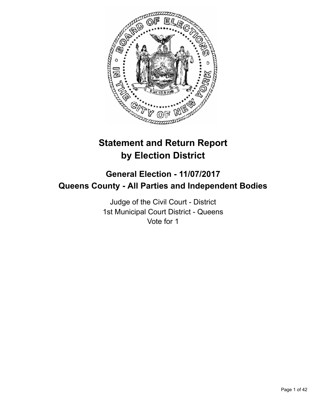

# **Statement and Return Report by Election District**

# **General Election - 11/07/2017 Queens County - All Parties and Independent Bodies**

Judge of the Civil Court - District 1st Municipal Court District - Queens Vote for 1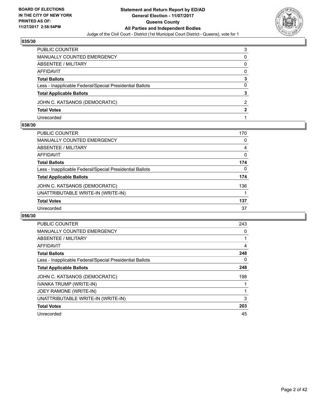

| PUBLIC COUNTER                                           | 3 |
|----------------------------------------------------------|---|
| MANUALLY COUNTED EMERGENCY                               | 0 |
| ABSENTEE / MILITARY                                      | 0 |
| AFFIDAVIT                                                | 0 |
| <b>Total Ballots</b>                                     | 3 |
| Less - Inapplicable Federal/Special Presidential Ballots | 0 |
| <b>Total Applicable Ballots</b>                          | 3 |
| JOHN C. KATSANOS (DEMOCRATIC)                            | 2 |
| <b>Total Votes</b>                                       | 2 |
| Unrecorded                                               |   |

#### **038/30**

| <b>PUBLIC COUNTER</b>                                    | 170 |
|----------------------------------------------------------|-----|
| <b>MANUALLY COUNTED EMERGENCY</b>                        | 0   |
| <b>ABSENTEE / MILITARY</b>                               | 4   |
| <b>AFFIDAVIT</b>                                         | 0   |
| <b>Total Ballots</b>                                     | 174 |
| Less - Inapplicable Federal/Special Presidential Ballots | 0   |
| <b>Total Applicable Ballots</b>                          | 174 |
| JOHN C. KATSANOS (DEMOCRATIC)                            | 136 |
| UNATTRIBUTABLE WRITE-IN (WRITE-IN)                       |     |
| <b>Total Votes</b>                                       | 137 |
| Unrecorded                                               | 37  |
|                                                          |     |

| <b>PUBLIC COUNTER</b>                                    | 243 |
|----------------------------------------------------------|-----|
| <b>MANUALLY COUNTED EMERGENCY</b>                        | 0   |
| ABSENTEE / MILITARY                                      |     |
| AFFIDAVIT                                                | 4   |
| <b>Total Ballots</b>                                     | 248 |
| Less - Inapplicable Federal/Special Presidential Ballots | 0   |
| <b>Total Applicable Ballots</b>                          | 248 |
| JOHN C. KATSANOS (DEMOCRATIC)                            | 198 |
| IVANKA TRUMP (WRITE-IN)                                  |     |
| JOEY RAMONE (WRITE-IN)                                   |     |
| UNATTRIBUTABLE WRITE-IN (WRITE-IN)                       | 3   |
| <b>Total Votes</b>                                       | 203 |
| Unrecorded                                               | 45  |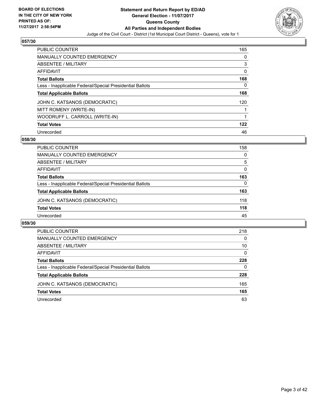

| <b>PUBLIC COUNTER</b>                                    | 165 |
|----------------------------------------------------------|-----|
| MANUALLY COUNTED EMERGENCY                               | 0   |
| ABSENTEE / MILITARY                                      | 3   |
| AFFIDAVIT                                                | 0   |
| <b>Total Ballots</b>                                     | 168 |
| Less - Inapplicable Federal/Special Presidential Ballots | 0   |
| <b>Total Applicable Ballots</b>                          | 168 |
| JOHN C. KATSANOS (DEMOCRATIC)                            | 120 |
| MITT ROMENY (WRITE-IN)                                   |     |
| WOODRUFF L. CARROLL (WRITE-IN)                           |     |
| <b>Total Votes</b>                                       | 122 |
| Unrecorded                                               | 46  |

#### **058/30**

| <b>PUBLIC COUNTER</b>                                    | 158 |
|----------------------------------------------------------|-----|
| <b>MANUALLY COUNTED EMERGENCY</b>                        | 0   |
| ABSENTEE / MILITARY                                      | 5   |
| AFFIDAVIT                                                | 0   |
| <b>Total Ballots</b>                                     | 163 |
| Less - Inapplicable Federal/Special Presidential Ballots | 0   |
| <b>Total Applicable Ballots</b>                          | 163 |
| JOHN C. KATSANOS (DEMOCRATIC)                            | 118 |
| <b>Total Votes</b>                                       | 118 |
| Unrecorded                                               | 45  |

| PUBLIC COUNTER                                           | 218 |
|----------------------------------------------------------|-----|
| <b>MANUALLY COUNTED EMERGENCY</b>                        | 0   |
| ABSENTEE / MILITARY                                      | 10  |
| AFFIDAVIT                                                | 0   |
| <b>Total Ballots</b>                                     | 228 |
| Less - Inapplicable Federal/Special Presidential Ballots | 0   |
| <b>Total Applicable Ballots</b>                          | 228 |
| JOHN C. KATSANOS (DEMOCRATIC)                            | 165 |
| <b>Total Votes</b>                                       | 165 |
| Unrecorded                                               | 63  |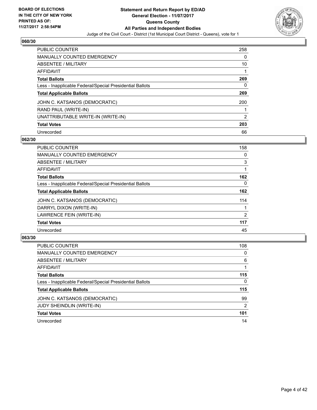

| <b>PUBLIC COUNTER</b>                                    | 258 |
|----------------------------------------------------------|-----|
| <b>MANUALLY COUNTED EMERGENCY</b>                        | 0   |
| ABSENTEE / MILITARY                                      | 10  |
| AFFIDAVIT                                                |     |
| <b>Total Ballots</b>                                     | 269 |
| Less - Inapplicable Federal/Special Presidential Ballots | 0   |
| <b>Total Applicable Ballots</b>                          | 269 |
| JOHN C. KATSANOS (DEMOCRATIC)                            | 200 |
| RAND PAUL (WRITE-IN)                                     |     |
| UNATTRIBUTABLE WRITE-IN (WRITE-IN)                       | 2   |
| <b>Total Votes</b>                                       | 203 |
| Unrecorded                                               | 66  |

#### **062/30**

| <b>PUBLIC COUNTER</b>                                    | 158            |
|----------------------------------------------------------|----------------|
| <b>MANUALLY COUNTED EMERGENCY</b>                        | 0              |
| ABSENTEE / MILITARY                                      | 3              |
| <b>AFFIDAVIT</b>                                         |                |
| <b>Total Ballots</b>                                     | 162            |
| Less - Inapplicable Federal/Special Presidential Ballots | $\Omega$       |
| <b>Total Applicable Ballots</b>                          | 162            |
| JOHN C. KATSANOS (DEMOCRATIC)                            | 114            |
| DARRYL DIXON (WRITE-IN)                                  |                |
| LAWRENCE FEIN (WRITE-IN)                                 | $\overline{2}$ |
| <b>Total Votes</b>                                       | 117            |
| Unrecorded                                               | 45             |

| <b>PUBLIC COUNTER</b>                                    | 108 |
|----------------------------------------------------------|-----|
| <b>MANUALLY COUNTED EMERGENCY</b>                        | 0   |
| ABSENTEE / MILITARY                                      | 6   |
| AFFIDAVIT                                                |     |
| <b>Total Ballots</b>                                     | 115 |
| Less - Inapplicable Federal/Special Presidential Ballots | 0   |
| <b>Total Applicable Ballots</b>                          | 115 |
| JOHN C. KATSANOS (DEMOCRATIC)                            | 99  |
| <b>JUDY SHEINDLIN (WRITE-IN)</b>                         | 2   |
| <b>Total Votes</b>                                       | 101 |
| Unrecorded                                               | 14  |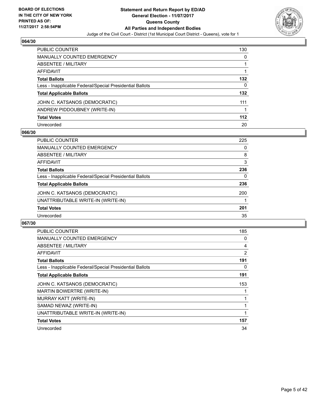

| <b>PUBLIC COUNTER</b>                                    | 130 |
|----------------------------------------------------------|-----|
| <b>MANUALLY COUNTED EMERGENCY</b>                        | 0   |
| ABSENTEE / MILITARY                                      |     |
| <b>AFFIDAVIT</b>                                         |     |
| <b>Total Ballots</b>                                     | 132 |
| Less - Inapplicable Federal/Special Presidential Ballots | 0   |
| <b>Total Applicable Ballots</b>                          | 132 |
| JOHN C. KATSANOS (DEMOCRATIC)                            | 111 |
| ANDREW PIDDOUBNEY (WRITE-IN)                             |     |
| <b>Total Votes</b>                                       | 112 |
| Unrecorded                                               | 20  |

## **066/30**

| <b>PUBLIC COUNTER</b>                                    | 225 |
|----------------------------------------------------------|-----|
| MANUALLY COUNTED EMERGENCY                               | 0   |
| ABSENTEE / MILITARY                                      | 8   |
| AFFIDAVIT                                                | 3   |
| <b>Total Ballots</b>                                     | 236 |
| Less - Inapplicable Federal/Special Presidential Ballots | 0   |
| <b>Total Applicable Ballots</b>                          | 236 |
| JOHN C. KATSANOS (DEMOCRATIC)                            | 200 |
| UNATTRIBUTABLE WRITE-IN (WRITE-IN)                       |     |
| <b>Total Votes</b>                                       | 201 |
| Unrecorded                                               | 35  |

| <b>PUBLIC COUNTER</b>                                    | 185 |
|----------------------------------------------------------|-----|
| MANUALLY COUNTED EMERGENCY                               | 0   |
| ABSENTEE / MILITARY                                      | 4   |
| <b>AFFIDAVIT</b>                                         | 2   |
| <b>Total Ballots</b>                                     | 191 |
| Less - Inapplicable Federal/Special Presidential Ballots | 0   |
| <b>Total Applicable Ballots</b>                          | 191 |
| JOHN C. KATSANOS (DEMOCRATIC)                            | 153 |
| MARTIN BOWERTRE (WRITE-IN)                               |     |
|                                                          |     |
| MURRAY KATT (WRITE-IN)                                   |     |
| SAMAD NEWAZ (WRITE-IN)                                   |     |
| UNATTRIBUTABLE WRITE-IN (WRITE-IN)                       |     |
| <b>Total Votes</b>                                       | 157 |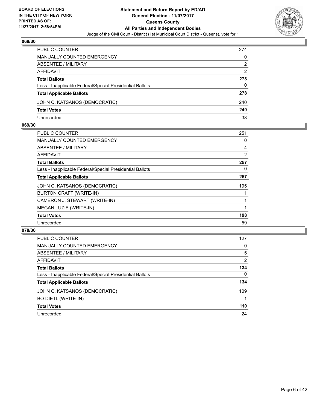

| PUBLIC COUNTER                                           | 274 |
|----------------------------------------------------------|-----|
| <b>MANUALLY COUNTED EMERGENCY</b>                        | 0   |
| ABSENTEE / MILITARY                                      | 2   |
| AFFIDAVIT                                                | 2   |
| <b>Total Ballots</b>                                     | 278 |
| Less - Inapplicable Federal/Special Presidential Ballots | 0   |
| <b>Total Applicable Ballots</b>                          | 278 |
| JOHN C. KATSANOS (DEMOCRATIC)                            | 240 |
| <b>Total Votes</b>                                       | 240 |
| Unrecorded                                               | 38  |

#### **069/30**

| <b>PUBLIC COUNTER</b>                                    | 251            |
|----------------------------------------------------------|----------------|
| <b>MANUALLY COUNTED EMERGENCY</b>                        | 0              |
| ABSENTEE / MILITARY                                      | 4              |
| AFFIDAVIT                                                | $\overline{2}$ |
| <b>Total Ballots</b>                                     | 257            |
| Less - Inapplicable Federal/Special Presidential Ballots | 0              |
| <b>Total Applicable Ballots</b>                          | 257            |
| JOHN C. KATSANOS (DEMOCRATIC)                            | 195            |
| BURTON CRAFT (WRITE-IN)                                  |                |
| CAMERON J. STEWART (WRITE-IN)                            |                |
| MEGAN LUZIE (WRITE-IN)                                   |                |
| <b>Total Votes</b>                                       | 198            |
| Unrecorded                                               | 59             |
|                                                          |                |

| <b>PUBLIC COUNTER</b>                                    | 127      |
|----------------------------------------------------------|----------|
| <b>MANUALLY COUNTED EMERGENCY</b>                        | 0        |
| ABSENTEE / MILITARY                                      | 5        |
| AFFIDAVIT                                                | 2        |
| <b>Total Ballots</b>                                     | 134      |
| Less - Inapplicable Federal/Special Presidential Ballots | $\Omega$ |
| <b>Total Applicable Ballots</b>                          | 134      |
| JOHN C. KATSANOS (DEMOCRATIC)                            | 109      |
| <b>BO DIETL (WRITE-IN)</b>                               |          |
| <b>Total Votes</b>                                       | 110      |
| Unrecorded                                               | 24       |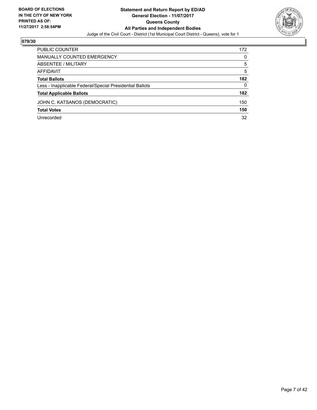

| <b>PUBLIC COUNTER</b>                                    | 172 |
|----------------------------------------------------------|-----|
| <b>MANUALLY COUNTED EMERGENCY</b>                        | 0   |
| ABSENTEE / MILITARY                                      | 5   |
| AFFIDAVIT                                                | 5   |
| <b>Total Ballots</b>                                     | 182 |
| Less - Inapplicable Federal/Special Presidential Ballots | 0   |
| <b>Total Applicable Ballots</b>                          | 182 |
| JOHN C. KATSANOS (DEMOCRATIC)                            | 150 |
| <b>Total Votes</b>                                       | 150 |
| Unrecorded                                               | 32  |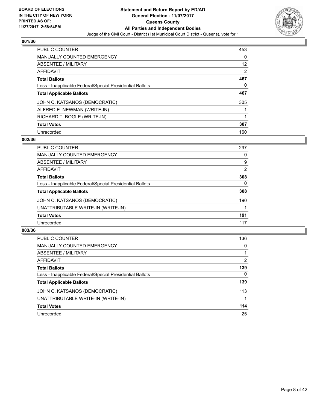

| <b>PUBLIC COUNTER</b>                                    | 453 |
|----------------------------------------------------------|-----|
| <b>MANUALLY COUNTED EMERGENCY</b>                        | 0   |
| ABSENTEE / MILITARY                                      | 12  |
| <b>AFFIDAVIT</b>                                         | 2   |
| <b>Total Ballots</b>                                     | 467 |
| Less - Inapplicable Federal/Special Presidential Ballots | 0   |
| <b>Total Applicable Ballots</b>                          | 467 |
| JOHN C. KATSANOS (DEMOCRATIC)                            | 305 |
| ALFRED E. NEWMAN (WRITE-IN)                              |     |
| RICHARD T. BOGLE (WRITE-IN)                              |     |
| <b>Total Votes</b>                                       | 307 |
| Unrecorded                                               | 160 |

#### **002/36**

| <b>PUBLIC COUNTER</b>                                    | 297 |
|----------------------------------------------------------|-----|
| MANUALLY COUNTED EMERGENCY                               | 0   |
| ABSENTEE / MILITARY                                      | 9   |
| AFFIDAVIT                                                | 2   |
| <b>Total Ballots</b>                                     | 308 |
| Less - Inapplicable Federal/Special Presidential Ballots | 0   |
| <b>Total Applicable Ballots</b>                          | 308 |
| JOHN C. KATSANOS (DEMOCRATIC)                            | 190 |
| UNATTRIBUTABLE WRITE-IN (WRITE-IN)                       |     |
| <b>Total Votes</b>                                       | 191 |
| Unrecorded                                               | 117 |

| <b>PUBLIC COUNTER</b>                                    | 136      |
|----------------------------------------------------------|----------|
| MANUALLY COUNTED EMERGENCY                               | 0        |
| ABSENTEE / MILITARY                                      |          |
| AFFIDAVIT                                                | 2        |
| <b>Total Ballots</b>                                     | 139      |
| Less - Inapplicable Federal/Special Presidential Ballots | $\Omega$ |
| <b>Total Applicable Ballots</b>                          | 139      |
| JOHN C. KATSANOS (DEMOCRATIC)                            | 113      |
| UNATTRIBUTABLE WRITE-IN (WRITE-IN)                       |          |
| <b>Total Votes</b>                                       | 114      |
| Unrecorded                                               | 25       |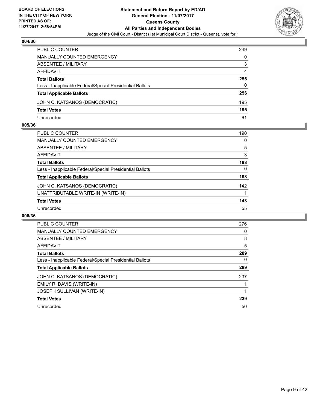

| PUBLIC COUNTER                                           | 249 |
|----------------------------------------------------------|-----|
| <b>MANUALLY COUNTED EMERGENCY</b>                        | 0   |
| ABSENTEE / MILITARY                                      | 3   |
| AFFIDAVIT                                                | 4   |
| <b>Total Ballots</b>                                     | 256 |
| Less - Inapplicable Federal/Special Presidential Ballots | 0   |
| <b>Total Applicable Ballots</b>                          | 256 |
| JOHN C. KATSANOS (DEMOCRATIC)                            | 195 |
| <b>Total Votes</b>                                       | 195 |
| Unrecorded                                               | 61  |

#### **005/36**

| PUBLIC COUNTER                                           | 190 |
|----------------------------------------------------------|-----|
| <b>MANUALLY COUNTED EMERGENCY</b>                        | 0   |
| ABSENTEE / MILITARY                                      | 5   |
| AFFIDAVIT                                                | 3   |
| <b>Total Ballots</b>                                     | 198 |
| Less - Inapplicable Federal/Special Presidential Ballots | 0   |
| <b>Total Applicable Ballots</b>                          | 198 |
| JOHN C. KATSANOS (DEMOCRATIC)                            | 142 |
| UNATTRIBUTABLE WRITE-IN (WRITE-IN)                       |     |
| <b>Total Votes</b>                                       | 143 |
| Unrecorded                                               | 55  |
|                                                          |     |

| <b>PUBLIC COUNTER</b>                                    | 276 |
|----------------------------------------------------------|-----|
| <b>MANUALLY COUNTED EMERGENCY</b>                        | 0   |
| ABSENTEE / MILITARY                                      | 8   |
| <b>AFFIDAVIT</b>                                         | 5   |
| <b>Total Ballots</b>                                     | 289 |
| Less - Inapplicable Federal/Special Presidential Ballots | 0   |
| <b>Total Applicable Ballots</b>                          | 289 |
| JOHN C. KATSANOS (DEMOCRATIC)                            | 237 |
| EMILY R. DAVIS (WRITE-IN)                                |     |
| <b>JOSEPH SULLIVAN (WRITE-IN)</b>                        |     |
| <b>Total Votes</b>                                       | 239 |
| Unrecorded                                               | 50  |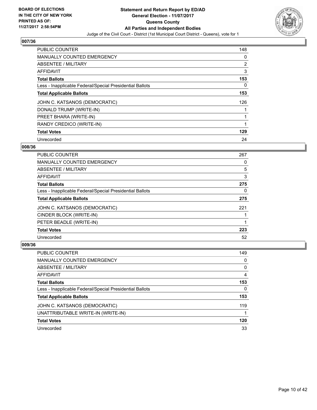

| <b>PUBLIC COUNTER</b>                                    | 148            |
|----------------------------------------------------------|----------------|
| <b>MANUALLY COUNTED EMERGENCY</b>                        | 0              |
| ABSENTEE / MILITARY                                      | $\overline{2}$ |
| <b>AFFIDAVIT</b>                                         | 3              |
| <b>Total Ballots</b>                                     | 153            |
| Less - Inapplicable Federal/Special Presidential Ballots | 0              |
| <b>Total Applicable Ballots</b>                          | 153            |
| JOHN C. KATSANOS (DEMOCRATIC)                            | 126            |
| DONALD TRUMP (WRITE-IN)                                  |                |
| PREET BHARA (WRITE-IN)                                   |                |
| RANDY CREDICO (WRITE-IN)                                 |                |
| <b>Total Votes</b>                                       | 129            |
| Unrecorded                                               | 24             |

## **008/36**

| PUBLIC COUNTER                                           | 267 |
|----------------------------------------------------------|-----|
| <b>MANUALLY COUNTED EMERGENCY</b>                        | 0   |
| ABSENTEE / MILITARY                                      | 5   |
| AFFIDAVIT                                                | 3   |
| <b>Total Ballots</b>                                     | 275 |
| Less - Inapplicable Federal/Special Presidential Ballots | 0   |
| <b>Total Applicable Ballots</b>                          | 275 |
| JOHN C. KATSANOS (DEMOCRATIC)                            | 221 |
| CINDER BLOCK (WRITE-IN)                                  |     |
| PETER BEADLE (WRITE-IN)                                  |     |
| <b>Total Votes</b>                                       | 223 |
| Unrecorded                                               | 52  |

| PUBLIC COUNTER                                           | 149 |
|----------------------------------------------------------|-----|
| <b>MANUALLY COUNTED EMERGENCY</b>                        | 0   |
| ABSENTEE / MILITARY                                      | 0   |
| AFFIDAVIT                                                | 4   |
| <b>Total Ballots</b>                                     | 153 |
| Less - Inapplicable Federal/Special Presidential Ballots | 0   |
| <b>Total Applicable Ballots</b>                          | 153 |
| JOHN C. KATSANOS (DEMOCRATIC)                            | 119 |
| UNATTRIBUTABLE WRITE-IN (WRITE-IN)                       |     |
| <b>Total Votes</b>                                       | 120 |
| Unrecorded                                               | 33  |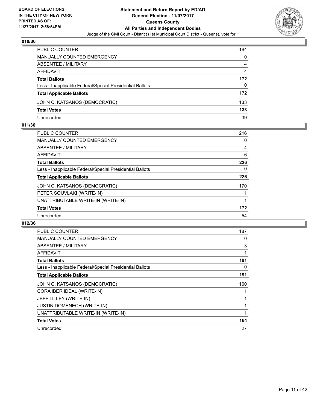

| PUBLIC COUNTER                                           | 164      |
|----------------------------------------------------------|----------|
| MANUALLY COUNTED EMERGENCY                               | 0        |
| ABSENTEE / MILITARY                                      | 4        |
| AFFIDAVIT                                                | 4        |
| <b>Total Ballots</b>                                     | 172      |
| Less - Inapplicable Federal/Special Presidential Ballots | $\Omega$ |
| <b>Total Applicable Ballots</b>                          | 172      |
| JOHN C. KATSANOS (DEMOCRATIC)                            | 133      |
| <b>Total Votes</b>                                       | 133      |
| Unrecorded                                               | 39       |

#### **011/36**

| PUBLIC COUNTER                                           | 216 |
|----------------------------------------------------------|-----|
| MANUALLY COUNTED EMERGENCY                               | 0   |
| ABSENTEE / MILITARY                                      | 4   |
| AFFIDAVIT                                                | 6   |
| <b>Total Ballots</b>                                     | 226 |
| Less - Inapplicable Federal/Special Presidential Ballots | 0   |
| <b>Total Applicable Ballots</b>                          | 226 |
| JOHN C. KATSANOS (DEMOCRATIC)                            | 170 |
| PETER SOUVLAKI (WRITE-IN)                                |     |
| UNATTRIBUTABLE WRITE-IN (WRITE-IN)                       |     |
| <b>Total Votes</b>                                       | 172 |
| Unrecorded                                               | 54  |

| <b>PUBLIC COUNTER</b>                                    | 187 |
|----------------------------------------------------------|-----|
| <b>MANUALLY COUNTED EMERGENCY</b>                        | 0   |
| <b>ABSENTEE / MILITARY</b>                               | 3   |
| <b>AFFIDAVIT</b>                                         |     |
| <b>Total Ballots</b>                                     | 191 |
| Less - Inapplicable Federal/Special Presidential Ballots | 0   |
| <b>Total Applicable Ballots</b>                          | 191 |
| JOHN C. KATSANOS (DEMOCRATIC)                            | 160 |
| CORA IBER IDEAL (WRITE-IN)                               |     |
| JEFF LILLEY (WRITE-IN)                                   |     |
|                                                          |     |
| <b>JUSTIN DOMENECH (WRITE-IN)</b>                        |     |
| UNATTRIBUTABLE WRITE-IN (WRITE-IN)                       |     |
| <b>Total Votes</b>                                       | 164 |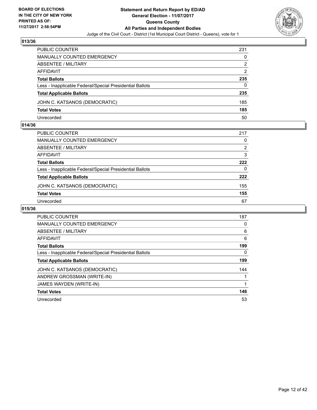

| PUBLIC COUNTER                                           | 231 |
|----------------------------------------------------------|-----|
| MANUALLY COUNTED EMERGENCY                               | 0   |
| <b>ABSENTEE / MILITARY</b>                               | 2   |
| AFFIDAVIT                                                | 2   |
| <b>Total Ballots</b>                                     | 235 |
| Less - Inapplicable Federal/Special Presidential Ballots | 0   |
| <b>Total Applicable Ballots</b>                          | 235 |
| JOHN C. KATSANOS (DEMOCRATIC)                            | 185 |
| <b>Total Votes</b>                                       | 185 |
| Unrecorded                                               | 50  |

#### **014/36**

| PUBLIC COUNTER                                           | 217 |
|----------------------------------------------------------|-----|
| <b>MANUALLY COUNTED EMERGENCY</b>                        | 0   |
| ABSENTEE / MILITARY                                      | 2   |
| AFFIDAVIT                                                | 3   |
| <b>Total Ballots</b>                                     | 222 |
| Less - Inapplicable Federal/Special Presidential Ballots | 0   |
| <b>Total Applicable Ballots</b>                          | 222 |
| JOHN C. KATSANOS (DEMOCRATIC)                            | 155 |
| <b>Total Votes</b>                                       | 155 |
| Unrecorded                                               | 67  |
|                                                          |     |

| <b>PUBLIC COUNTER</b>                                    | 187 |
|----------------------------------------------------------|-----|
| <b>MANUALLY COUNTED EMERGENCY</b>                        | 0   |
| ABSENTEE / MILITARY                                      | 6   |
| <b>AFFIDAVIT</b>                                         | 6   |
| <b>Total Ballots</b>                                     | 199 |
| Less - Inapplicable Federal/Special Presidential Ballots | 0   |
| <b>Total Applicable Ballots</b>                          | 199 |
| JOHN C. KATSANOS (DEMOCRATIC)                            | 144 |
| ANDREW GROSSMAN (WRITE-IN)                               |     |
| JAMES WAYDEN (WRITE-IN)                                  |     |
| <b>Total Votes</b>                                       | 146 |
| Unrecorded                                               | 53  |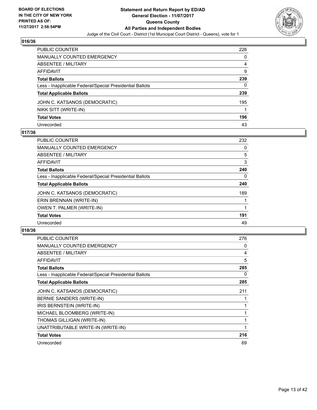

| PUBLIC COUNTER                                           | 226 |
|----------------------------------------------------------|-----|
| MANUALLY COUNTED EMERGENCY                               | 0   |
| ABSENTEE / MILITARY                                      | 4   |
| AFFIDAVIT                                                | 9   |
| Total Ballots                                            | 239 |
| Less - Inapplicable Federal/Special Presidential Ballots | 0   |
| <b>Total Applicable Ballots</b>                          | 239 |
| JOHN C. KATSANOS (DEMOCRATIC)                            | 195 |
| NIKK SITT (WRITE-IN)                                     |     |
| <b>Total Votes</b>                                       | 196 |
| Unrecorded                                               | 43  |

## **017/36**

| <b>PUBLIC COUNTER</b>                                    | 232 |
|----------------------------------------------------------|-----|
| <b>MANUALLY COUNTED EMERGENCY</b>                        | 0   |
| ABSENTEE / MILITARY                                      | 5   |
| <b>AFFIDAVIT</b>                                         | 3   |
| <b>Total Ballots</b>                                     | 240 |
| Less - Inapplicable Federal/Special Presidential Ballots | 0   |
| <b>Total Applicable Ballots</b>                          | 240 |
| JOHN C. KATSANOS (DEMOCRATIC)                            | 189 |
| ERIN BRENNAN (WRITE-IN)                                  |     |
| <b>OWEN T. PALMER (WRITE-IN)</b>                         |     |
| <b>Total Votes</b>                                       | 191 |
| Unrecorded                                               | 49  |

| PUBLIC COUNTER                                           | 276 |
|----------------------------------------------------------|-----|
| <b>MANUALLY COUNTED EMERGENCY</b>                        | 0   |
| ABSENTEE / MILITARY                                      | 4   |
| AFFIDAVIT                                                | 5   |
| <b>Total Ballots</b>                                     | 285 |
| Less - Inapplicable Federal/Special Presidential Ballots | 0   |
| <b>Total Applicable Ballots</b>                          | 285 |
| JOHN C. KATSANOS (DEMOCRATIC)                            | 211 |
| BERNIE SANDERS (WRITE-IN)                                |     |
| IRIS BERNSTEIN (WRITE-IN)                                |     |
| MICHAEL BLOOMBERG (WRITE-IN)                             |     |
| THOMAS GILLIGAN (WRITE-IN)                               | 1   |
| UNATTRIBUTABLE WRITE-IN (WRITE-IN)                       | 1   |
| <b>Total Votes</b>                                       | 216 |
| Unrecorded                                               | 69  |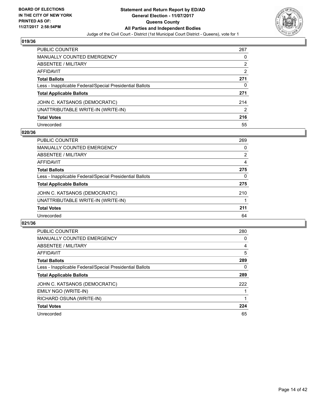

| PUBLIC COUNTER                                           | 267            |
|----------------------------------------------------------|----------------|
| <b>MANUALLY COUNTED EMERGENCY</b>                        | 0              |
| <b>ABSENTEE / MILITARY</b>                               | $\overline{2}$ |
| <b>AFFIDAVIT</b>                                         | 2              |
| <b>Total Ballots</b>                                     | 271            |
| Less - Inapplicable Federal/Special Presidential Ballots | 0              |
| <b>Total Applicable Ballots</b>                          | 271            |
| JOHN C. KATSANOS (DEMOCRATIC)                            | 214            |
| UNATTRIBUTABLE WRITE-IN (WRITE-IN)                       | 2              |
| <b>Total Votes</b>                                       | 216            |
| Unrecorded                                               | 55             |

#### **020/36**

| <b>PUBLIC COUNTER</b>                                    | 269 |
|----------------------------------------------------------|-----|
| <b>MANUALLY COUNTED EMERGENCY</b>                        | 0   |
| ABSENTEE / MILITARY                                      | 2   |
| AFFIDAVIT                                                | 4   |
| <b>Total Ballots</b>                                     | 275 |
| Less - Inapplicable Federal/Special Presidential Ballots | 0   |
| <b>Total Applicable Ballots</b>                          | 275 |
| JOHN C. KATSANOS (DEMOCRATIC)                            | 210 |
| UNATTRIBUTABLE WRITE-IN (WRITE-IN)                       |     |
| <b>Total Votes</b>                                       | 211 |
| Unrecorded                                               | 64  |

| <b>PUBLIC COUNTER</b>                                    | 280 |
|----------------------------------------------------------|-----|
| <b>MANUALLY COUNTED EMERGENCY</b>                        | 0   |
| ABSENTEE / MILITARY                                      | 4   |
| <b>AFFIDAVIT</b>                                         | 5   |
| <b>Total Ballots</b>                                     | 289 |
| Less - Inapplicable Federal/Special Presidential Ballots | 0   |
| <b>Total Applicable Ballots</b>                          | 289 |
| JOHN C. KATSANOS (DEMOCRATIC)                            | 222 |
| EMILY NGO (WRITE-IN)                                     |     |
| RICHARD OSUNA (WRITE-IN)                                 |     |
| <b>Total Votes</b>                                       | 224 |
| Unrecorded                                               | 65  |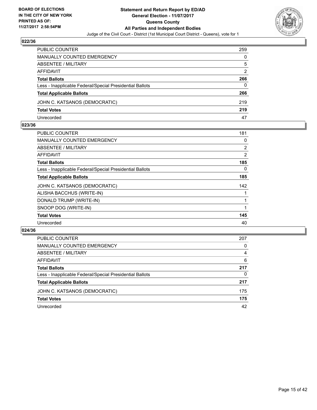

| PUBLIC COUNTER                                           | 259 |
|----------------------------------------------------------|-----|
| <b>MANUALLY COUNTED EMERGENCY</b>                        | 0   |
| ABSENTEE / MILITARY                                      | 5   |
| AFFIDAVIT                                                | 2   |
| <b>Total Ballots</b>                                     | 266 |
| Less - Inapplicable Federal/Special Presidential Ballots | 0   |
| <b>Total Applicable Ballots</b>                          | 266 |
| JOHN C. KATSANOS (DEMOCRATIC)                            | 219 |
| <b>Total Votes</b>                                       | 219 |
| Unrecorded                                               | 47  |

#### **023/36**

| <b>PUBLIC COUNTER</b>                                    | 181            |
|----------------------------------------------------------|----------------|
| <b>MANUALLY COUNTED EMERGENCY</b>                        | 0              |
| ABSENTEE / MILITARY                                      | $\overline{2}$ |
| AFFIDAVIT                                                | 2              |
| <b>Total Ballots</b>                                     | 185            |
| Less - Inapplicable Federal/Special Presidential Ballots | 0              |
| <b>Total Applicable Ballots</b>                          | 185            |
| JOHN C. KATSANOS (DEMOCRATIC)                            | 142            |
| ALISHA BACCHUS (WRITE-IN)                                |                |
| DONALD TRUMP (WRITE-IN)                                  |                |
| SNOOP DOG (WRITE-IN)                                     |                |
| <b>Total Votes</b>                                       | 145            |
| Unrecorded                                               | 40             |
|                                                          |                |

| <b>PUBLIC COUNTER</b>                                    | 207 |
|----------------------------------------------------------|-----|
| MANUALLY COUNTED EMERGENCY                               | 0   |
| ABSENTEE / MILITARY                                      | 4   |
| AFFIDAVIT                                                | 6   |
| <b>Total Ballots</b>                                     | 217 |
| Less - Inapplicable Federal/Special Presidential Ballots | 0   |
| <b>Total Applicable Ballots</b>                          | 217 |
| JOHN C. KATSANOS (DEMOCRATIC)                            | 175 |
| <b>Total Votes</b>                                       | 175 |
| Unrecorded                                               | 42  |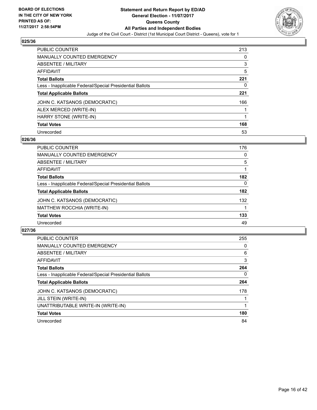

| <b>PUBLIC COUNTER</b>                                    | 213 |
|----------------------------------------------------------|-----|
| MANUALLY COUNTED EMERGENCY                               | 0   |
| ABSENTEE / MILITARY                                      | 3   |
| AFFIDAVIT                                                | 5   |
| <b>Total Ballots</b>                                     | 221 |
| Less - Inapplicable Federal/Special Presidential Ballots | 0   |
| <b>Total Applicable Ballots</b>                          | 221 |
| JOHN C. KATSANOS (DEMOCRATIC)                            | 166 |
| ALEX MERCED (WRITE-IN)                                   |     |
| HARRY STONE (WRITE-IN)                                   |     |
| <b>Total Votes</b>                                       | 168 |
| Unrecorded                                               | 53  |

#### **026/36**

| <b>PUBLIC COUNTER</b>                                    | 176 |
|----------------------------------------------------------|-----|
| <b>MANUALLY COUNTED EMERGENCY</b>                        | 0   |
| ABSENTEE / MILITARY                                      | 5   |
| <b>AFFIDAVIT</b>                                         |     |
| <b>Total Ballots</b>                                     | 182 |
| Less - Inapplicable Federal/Special Presidential Ballots | 0   |
| <b>Total Applicable Ballots</b>                          | 182 |
| JOHN C. KATSANOS (DEMOCRATIC)                            | 132 |
| MATTHEW ROCCHIA (WRITE-IN)                               |     |
| <b>Total Votes</b>                                       | 133 |
| Unrecorded                                               | 49  |

| <b>PUBLIC COUNTER</b>                                    | 255      |
|----------------------------------------------------------|----------|
| MANUALLY COUNTED EMERGENCY                               | 0        |
| ABSENTEE / MILITARY                                      | 6        |
| <b>AFFIDAVIT</b>                                         | 3        |
| <b>Total Ballots</b>                                     | 264      |
| Less - Inapplicable Federal/Special Presidential Ballots | $\Omega$ |
| <b>Total Applicable Ballots</b>                          | 264      |
| JOHN C. KATSANOS (DEMOCRATIC)                            | 178      |
| JILL STEIN (WRITE-IN)                                    |          |
| UNATTRIBUTABLE WRITE-IN (WRITE-IN)                       |          |
| <b>Total Votes</b>                                       | 180      |
| Unrecorded                                               | 84       |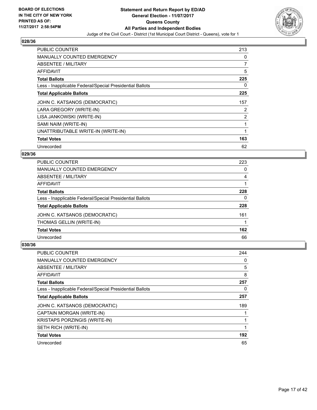

| <b>PUBLIC COUNTER</b>                                    | 213            |
|----------------------------------------------------------|----------------|
| <b>MANUALLY COUNTED EMERGENCY</b>                        | 0              |
| ABSENTEE / MILITARY                                      | $\overline{7}$ |
| <b>AFFIDAVIT</b>                                         | 5              |
| <b>Total Ballots</b>                                     | 225            |
| Less - Inapplicable Federal/Special Presidential Ballots | 0              |
| <b>Total Applicable Ballots</b>                          | 225            |
| JOHN C. KATSANOS (DEMOCRATIC)                            | 157            |
| LARA GREGORY (WRITE-IN)                                  | $\overline{2}$ |
| LISA JANKOWSKI (WRITE-IN)                                | 2              |
| SAMI NAIM (WRITE-IN)                                     |                |
| UNATTRIBUTABLE WRITE-IN (WRITE-IN)                       | 1              |
| <b>Total Votes</b>                                       | 163            |
| Unrecorded                                               | 62             |

## **029/36**

| <b>PUBLIC COUNTER</b>                                    | 223 |
|----------------------------------------------------------|-----|
| <b>MANUALLY COUNTED EMERGENCY</b>                        | 0   |
| ABSENTEE / MILITARY                                      | 4   |
| AFFIDAVIT                                                |     |
| <b>Total Ballots</b>                                     | 228 |
| Less - Inapplicable Federal/Special Presidential Ballots | 0   |
| <b>Total Applicable Ballots</b>                          | 228 |
| JOHN C. KATSANOS (DEMOCRATIC)                            | 161 |
| THOMAS GELLIN (WRITE-IN)                                 |     |
| <b>Total Votes</b>                                       | 162 |
| Unrecorded                                               | 66  |

| <b>PUBLIC COUNTER</b>                                    | 244 |
|----------------------------------------------------------|-----|
| <b>MANUALLY COUNTED EMERGENCY</b>                        | 0   |
| ABSENTEE / MILITARY                                      | 5   |
| AFFIDAVIT                                                | 8   |
| <b>Total Ballots</b>                                     | 257 |
| Less - Inapplicable Federal/Special Presidential Ballots | 0   |
| <b>Total Applicable Ballots</b>                          | 257 |
| JOHN C. KATSANOS (DEMOCRATIC)                            | 189 |
| CAPTAIN MORGAN (WRITE-IN)                                |     |
| <b>KRISTAPS PORZINGIS (WRITE-IN)</b>                     | 1   |
| SETH RICH (WRITE-IN)                                     |     |
| <b>Total Votes</b>                                       | 192 |
| Unrecorded                                               | 65  |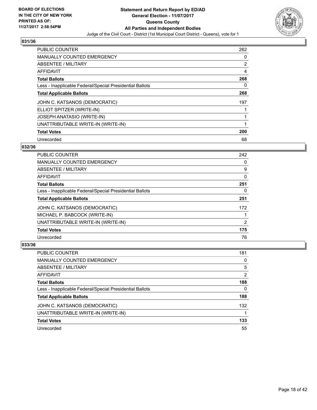

| <b>PUBLIC COUNTER</b>                                    | 262 |
|----------------------------------------------------------|-----|
| <b>MANUALLY COUNTED EMERGENCY</b>                        | 0   |
| ABSENTEE / MILITARY                                      | 2   |
| <b>AFFIDAVIT</b>                                         | 4   |
| <b>Total Ballots</b>                                     | 268 |
| Less - Inapplicable Federal/Special Presidential Ballots | 0   |
| <b>Total Applicable Ballots</b>                          | 268 |
| JOHN C. KATSANOS (DEMOCRATIC)                            | 197 |
| ELLIOT SPITZER (WRITE-IN)                                |     |
| JOSEPH ANATASIO (WRITE-IN)                               |     |
| UNATTRIBUTABLE WRITE-IN (WRITE-IN)                       | 1   |
| <b>Total Votes</b>                                       | 200 |
| Unrecorded                                               | 68  |

## **032/36**

| <b>PUBLIC COUNTER</b>                                    | 242            |
|----------------------------------------------------------|----------------|
| <b>MANUALLY COUNTED EMERGENCY</b>                        | 0              |
| ABSENTEE / MILITARY                                      | 9              |
| <b>AFFIDAVIT</b>                                         | 0              |
| <b>Total Ballots</b>                                     | 251            |
| Less - Inapplicable Federal/Special Presidential Ballots | 0              |
| <b>Total Applicable Ballots</b>                          | 251            |
| JOHN C. KATSANOS (DEMOCRATIC)                            | 172            |
| MICHAEL P. BABCOCK (WRITE-IN)                            |                |
| UNATTRIBUTABLE WRITE-IN (WRITE-IN)                       | $\overline{2}$ |
| <b>Total Votes</b>                                       | 175            |
| Unrecorded                                               | 76             |

| PUBLIC COUNTER                                           | 181 |
|----------------------------------------------------------|-----|
| <b>MANUALLY COUNTED EMERGENCY</b>                        | 0   |
| ABSENTEE / MILITARY                                      | 5   |
| AFFIDAVIT                                                | 2   |
| <b>Total Ballots</b>                                     | 188 |
| Less - Inapplicable Federal/Special Presidential Ballots | 0   |
| <b>Total Applicable Ballots</b>                          | 188 |
| JOHN C. KATSANOS (DEMOCRATIC)                            | 132 |
| UNATTRIBUTABLE WRITE-IN (WRITE-IN)                       |     |
| <b>Total Votes</b>                                       | 133 |
| Unrecorded                                               | 55  |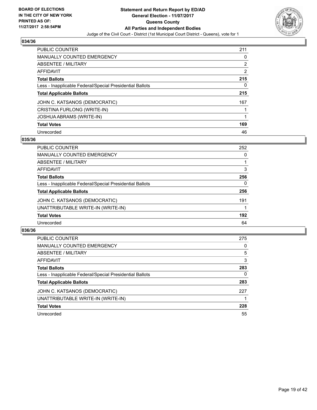

| <b>PUBLIC COUNTER</b>                                    | 211            |
|----------------------------------------------------------|----------------|
| MANUALLY COUNTED EMERGENCY                               | 0              |
| ABSENTEE / MILITARY                                      | $\overline{2}$ |
| AFFIDAVIT                                                | 2              |
| <b>Total Ballots</b>                                     | 215            |
| Less - Inapplicable Federal/Special Presidential Ballots | 0              |
| <b>Total Applicable Ballots</b>                          | 215            |
| JOHN C. KATSANOS (DEMOCRATIC)                            | 167            |
| CRISTINA FURLONG (WRITE-IN)                              |                |
| JOSHUA ABRAMS (WRITE-IN)                                 |                |
| <b>Total Votes</b>                                       | 169            |
| Unrecorded                                               | 46             |

#### **035/36**

| PUBLIC COUNTER                                           | 252 |
|----------------------------------------------------------|-----|
| MANUALLY COUNTED EMERGENCY                               | 0   |
| ABSENTEE / MILITARY                                      |     |
| AFFIDAVIT                                                | 3   |
| <b>Total Ballots</b>                                     | 256 |
| Less - Inapplicable Federal/Special Presidential Ballots | 0   |
| <b>Total Applicable Ballots</b>                          | 256 |
| JOHN C. KATSANOS (DEMOCRATIC)                            | 191 |
| UNATTRIBUTABLE WRITE-IN (WRITE-IN)                       |     |
| <b>Total Votes</b>                                       | 192 |
| Unrecorded                                               | 64  |

| <b>PUBLIC COUNTER</b>                                    | 275 |
|----------------------------------------------------------|-----|
| MANUALLY COUNTED EMERGENCY                               | 0   |
| ABSENTEE / MILITARY                                      | 5   |
| AFFIDAVIT                                                | 3   |
| <b>Total Ballots</b>                                     | 283 |
| Less - Inapplicable Federal/Special Presidential Ballots | 0   |
| <b>Total Applicable Ballots</b>                          | 283 |
| JOHN C. KATSANOS (DEMOCRATIC)                            | 227 |
| UNATTRIBUTABLE WRITE-IN (WRITE-IN)                       |     |
| <b>Total Votes</b>                                       | 228 |
| Unrecorded                                               | 55  |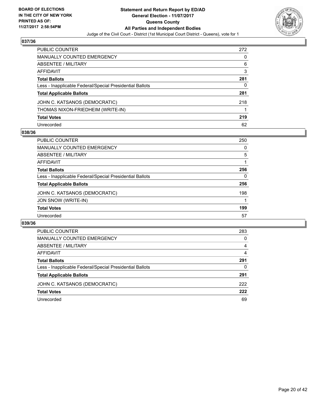

| PUBLIC COUNTER                                           | 272 |
|----------------------------------------------------------|-----|
| <b>MANUALLY COUNTED EMERGENCY</b>                        | 0   |
| ABSENTEE / MILITARY                                      | 6   |
| AFFIDAVIT                                                | 3   |
| <b>Total Ballots</b>                                     | 281 |
| Less - Inapplicable Federal/Special Presidential Ballots | 0   |
| <b>Total Applicable Ballots</b>                          | 281 |
| JOHN C. KATSANOS (DEMOCRATIC)                            | 218 |
| THOMAS NIXON-FRIEDHEIM (WRITE-IN)                        |     |
| <b>Total Votes</b>                                       | 219 |
| Unrecorded                                               | 62  |

#### **038/36**

| <b>PUBLIC COUNTER</b>                                    | 250 |
|----------------------------------------------------------|-----|
| <b>MANUALLY COUNTED EMERGENCY</b>                        | 0   |
| ABSENTEE / MILITARY                                      | 5   |
| AFFIDAVIT                                                |     |
| <b>Total Ballots</b>                                     | 256 |
| Less - Inapplicable Federal/Special Presidential Ballots | 0   |
| <b>Total Applicable Ballots</b>                          | 256 |
| JOHN C. KATSANOS (DEMOCRATIC)                            | 198 |
| JON SNOW (WRITE-IN)                                      |     |
| <b>Total Votes</b>                                       | 199 |
| Unrecorded                                               | 57  |

| PUBLIC COUNTER                                           | 283 |
|----------------------------------------------------------|-----|
| <b>MANUALLY COUNTED EMERGENCY</b>                        | 0   |
| ABSENTEE / MILITARY                                      | 4   |
| AFFIDAVIT                                                | 4   |
| <b>Total Ballots</b>                                     | 291 |
| Less - Inapplicable Federal/Special Presidential Ballots | 0   |
| <b>Total Applicable Ballots</b>                          | 291 |
| JOHN C. KATSANOS (DEMOCRATIC)                            | 222 |
| <b>Total Votes</b>                                       | 222 |
| Unrecorded                                               | 69  |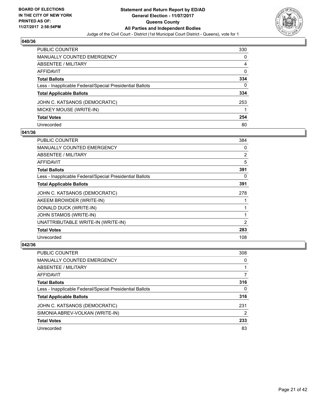

| PUBLIC COUNTER                                           | 330 |
|----------------------------------------------------------|-----|
| <b>MANUALLY COUNTED EMERGENCY</b>                        | 0   |
| <b>ABSENTEE / MILITARY</b>                               | 4   |
| AFFIDAVIT                                                | 0   |
| <b>Total Ballots</b>                                     | 334 |
| Less - Inapplicable Federal/Special Presidential Ballots | 0   |
| <b>Total Applicable Ballots</b>                          | 334 |
| JOHN C. KATSANOS (DEMOCRATIC)                            | 253 |
| MICKEY MOUSE (WRITE-IN)                                  |     |
| <b>Total Votes</b>                                       | 254 |
| Unrecorded                                               | 80  |

## **041/36**

| <b>PUBLIC COUNTER</b>                                    | 384            |
|----------------------------------------------------------|----------------|
| <b>MANUALLY COUNTED EMERGENCY</b>                        | 0              |
| ABSENTEE / MILITARY                                      | $\overline{2}$ |
| AFFIDAVIT                                                | 5              |
| <b>Total Ballots</b>                                     | 391            |
| Less - Inapplicable Federal/Special Presidential Ballots | 0              |
| <b>Total Applicable Ballots</b>                          | 391            |
| JOHN C. KATSANOS (DEMOCRATIC)                            | 278            |
| AKEEM BROWDER (WRITE-IN)                                 |                |
| DONALD DUCK (WRITE-IN)                                   |                |
| JOHN STAMOS (WRITE-IN)                                   |                |
| UNATTRIBUTABLE WRITE-IN (WRITE-IN)                       | 2              |
| <b>Total Votes</b>                                       | 283            |
| Unrecorded                                               | 108            |

| PUBLIC COUNTER                                           | 308 |
|----------------------------------------------------------|-----|
| MANUALLY COUNTED EMERGENCY                               | 0   |
| ABSENTEE / MILITARY                                      |     |
| AFFIDAVIT                                                | 7   |
| <b>Total Ballots</b>                                     | 316 |
| Less - Inapplicable Federal/Special Presidential Ballots | 0   |
| <b>Total Applicable Ballots</b>                          | 316 |
| JOHN C. KATSANOS (DEMOCRATIC)                            | 231 |
| SIMONIA ABREV-VOLKAN (WRITE-IN)                          | 2   |
| <b>Total Votes</b>                                       | 233 |
| Unrecorded                                               | 83  |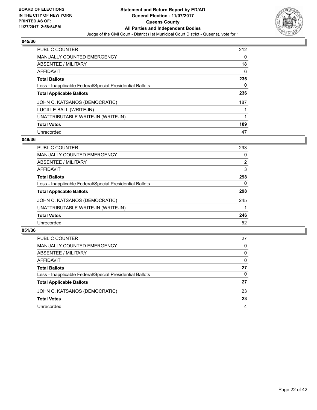

| <b>PUBLIC COUNTER</b>                                    | 212 |
|----------------------------------------------------------|-----|
| <b>MANUALLY COUNTED EMERGENCY</b>                        | 0   |
| ABSENTEE / MILITARY                                      | 18  |
| AFFIDAVIT                                                | 6   |
| <b>Total Ballots</b>                                     | 236 |
| Less - Inapplicable Federal/Special Presidential Ballots | 0   |
| <b>Total Applicable Ballots</b>                          | 236 |
| JOHN C. KATSANOS (DEMOCRATIC)                            | 187 |
| LUCILLE BALL (WRITE-IN)                                  |     |
| UNATTRIBUTABLE WRITE-IN (WRITE-IN)                       |     |
| <b>Total Votes</b>                                       | 189 |
| Unrecorded                                               | 47  |

#### **049/36**

| PUBLIC COUNTER                                           | 293            |
|----------------------------------------------------------|----------------|
| MANUALLY COUNTED EMERGENCY                               | 0              |
| ABSENTEE / MILITARY                                      | $\overline{2}$ |
| AFFIDAVIT                                                | 3              |
| <b>Total Ballots</b>                                     | 298            |
| Less - Inapplicable Federal/Special Presidential Ballots | 0              |
| <b>Total Applicable Ballots</b>                          | 298            |
| JOHN C. KATSANOS (DEMOCRATIC)                            | 245            |
| UNATTRIBUTABLE WRITE-IN (WRITE-IN)                       |                |
| <b>Total Votes</b>                                       | 246            |
| Unrecorded                                               | 52             |

| <b>PUBLIC COUNTER</b>                                    | 27 |
|----------------------------------------------------------|----|
| MANUALLY COUNTED EMERGENCY                               | 0  |
| ABSENTEE / MILITARY                                      | 0  |
| AFFIDAVIT                                                | 0  |
| <b>Total Ballots</b>                                     | 27 |
| Less - Inapplicable Federal/Special Presidential Ballots | 0  |
| <b>Total Applicable Ballots</b>                          | 27 |
| JOHN C. KATSANOS (DEMOCRATIC)                            | 23 |
| <b>Total Votes</b>                                       | 23 |
| Unrecorded                                               | 4  |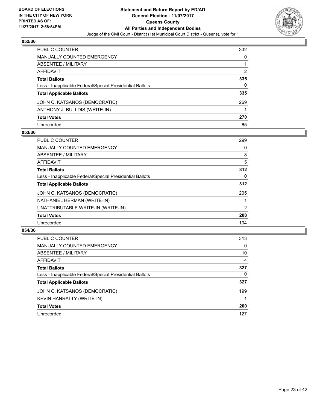

| <b>PUBLIC COUNTER</b>                                    | 332 |
|----------------------------------------------------------|-----|
| <b>MANUALLY COUNTED EMERGENCY</b>                        | 0   |
| ABSENTEE / MILITARY                                      |     |
| <b>AFFIDAVIT</b>                                         | 2   |
| <b>Total Ballots</b>                                     | 335 |
| Less - Inapplicable Federal/Special Presidential Ballots | 0   |
| <b>Total Applicable Ballots</b>                          | 335 |
| JOHN C. KATSANOS (DEMOCRATIC)                            | 269 |
| ANTHONY J. BULLDIS (WRITE-IN)                            |     |
| <b>Total Votes</b>                                       | 270 |
| Unrecorded                                               | 65  |

#### **053/36**

| <b>PUBLIC COUNTER</b>                                    | 299 |
|----------------------------------------------------------|-----|
| <b>MANUALLY COUNTED EMERGENCY</b>                        | 0   |
| ABSENTEE / MILITARY                                      | 8   |
| AFFIDAVIT                                                | 5   |
| <b>Total Ballots</b>                                     | 312 |
| Less - Inapplicable Federal/Special Presidential Ballots | 0   |
| <b>Total Applicable Ballots</b>                          | 312 |
| JOHN C. KATSANOS (DEMOCRATIC)                            | 205 |
| NATHANIEL HERMAN (WRITE-IN)                              |     |
| UNATTRIBUTABLE WRITE-IN (WRITE-IN)                       | 2   |
| <b>Total Votes</b>                                       | 208 |
| Unrecorded                                               | 104 |

| <b>PUBLIC COUNTER</b>                                    | 313 |
|----------------------------------------------------------|-----|
| <b>MANUALLY COUNTED EMERGENCY</b>                        | 0   |
| ABSENTEE / MILITARY                                      | 10  |
| AFFIDAVIT                                                | 4   |
| <b>Total Ballots</b>                                     | 327 |
| Less - Inapplicable Federal/Special Presidential Ballots | 0   |
| <b>Total Applicable Ballots</b>                          | 327 |
| JOHN C. KATSANOS (DEMOCRATIC)                            | 199 |
| KEVIN HANRATTY (WRITE-IN)                                |     |
| <b>Total Votes</b>                                       | 200 |
| Unrecorded                                               | 127 |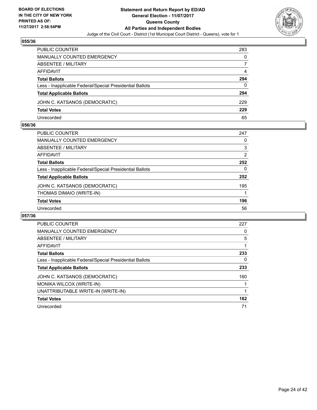

| PUBLIC COUNTER                                           | 283 |
|----------------------------------------------------------|-----|
| <b>MANUALLY COUNTED EMERGENCY</b>                        | 0   |
| ABSENTEE / MILITARY                                      |     |
| AFFIDAVIT                                                | 4   |
| <b>Total Ballots</b>                                     | 294 |
| Less - Inapplicable Federal/Special Presidential Ballots | 0   |
| <b>Total Applicable Ballots</b>                          | 294 |
| JOHN C. KATSANOS (DEMOCRATIC)                            | 229 |
| <b>Total Votes</b>                                       | 229 |
| Unrecorded                                               | 65  |

#### **056/36**

| PUBLIC COUNTER                                           | 247            |
|----------------------------------------------------------|----------------|
| <b>MANUALLY COUNTED EMERGENCY</b>                        | 0              |
| ABSENTEE / MILITARY                                      | 3              |
| AFFIDAVIT                                                | $\overline{2}$ |
| <b>Total Ballots</b>                                     | 252            |
| Less - Inapplicable Federal/Special Presidential Ballots | 0              |
| <b>Total Applicable Ballots</b>                          | 252            |
| JOHN C. KATSANOS (DEMOCRATIC)                            | 195            |
| THOMAS DIMAIO (WRITE-IN)                                 |                |
| <b>Total Votes</b>                                       | 196            |
| Unrecorded                                               | 56             |
|                                                          |                |

| <b>PUBLIC COUNTER</b>                                    | 227 |
|----------------------------------------------------------|-----|
| <b>MANUALLY COUNTED EMERGENCY</b>                        | 0   |
| <b>ABSENTEE / MILITARY</b>                               | 5   |
| <b>AFFIDAVIT</b>                                         |     |
| <b>Total Ballots</b>                                     | 233 |
| Less - Inapplicable Federal/Special Presidential Ballots | 0   |
| <b>Total Applicable Ballots</b>                          | 233 |
| JOHN C. KATSANOS (DEMOCRATIC)                            | 160 |
| MONIKA WILCOX (WRITE-IN)                                 |     |
| UNATTRIBUTABLE WRITE-IN (WRITE-IN)                       |     |
| <b>Total Votes</b>                                       | 162 |
| Unrecorded                                               | 71  |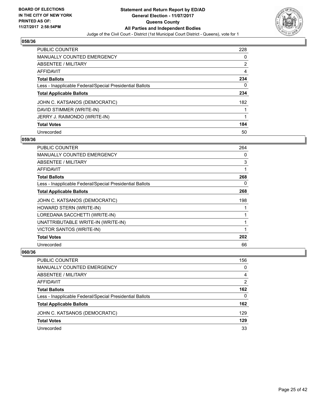

| <b>PUBLIC COUNTER</b>                                    | 228 |
|----------------------------------------------------------|-----|
| <b>MANUALLY COUNTED EMERGENCY</b>                        | 0   |
| ABSENTEE / MILITARY                                      | 2   |
| AFFIDAVIT                                                | 4   |
| <b>Total Ballots</b>                                     | 234 |
| Less - Inapplicable Federal/Special Presidential Ballots | 0   |
| <b>Total Applicable Ballots</b>                          | 234 |
| JOHN C. KATSANOS (DEMOCRATIC)                            | 182 |
| DAVID STIMMER (WRITE-IN)                                 |     |
| JERRY J. RAIMONDO (WRITE-IN)                             |     |
| <b>Total Votes</b>                                       | 184 |
| Unrecorded                                               | 50  |

#### **059/36**

| <b>PUBLIC COUNTER</b>                                    | 264 |
|----------------------------------------------------------|-----|
| <b>MANUALLY COUNTED EMERGENCY</b>                        | 0   |
| ABSENTEE / MILITARY                                      | 3   |
| AFFIDAVIT                                                | 1   |
| <b>Total Ballots</b>                                     | 268 |
| Less - Inapplicable Federal/Special Presidential Ballots | 0   |
| <b>Total Applicable Ballots</b>                          | 268 |
| JOHN C. KATSANOS (DEMOCRATIC)                            | 198 |
| HOWARD STERN (WRITE-IN)                                  |     |
| LOREDANA SACCHETTI (WRITE-IN)                            |     |
| UNATTRIBUTABLE WRITE-IN (WRITE-IN)                       | 1   |
| <b>VICTOR SANTOS (WRITE-IN)</b>                          | 1   |
| <b>Total Votes</b>                                       | 202 |
| Unrecorded                                               | 66  |

| PUBLIC COUNTER                                           | 156 |
|----------------------------------------------------------|-----|
| MANUALLY COUNTED EMERGENCY                               | 0   |
| ABSENTEE / MILITARY                                      | 4   |
| AFFIDAVIT                                                | 2   |
| <b>Total Ballots</b>                                     | 162 |
| Less - Inapplicable Federal/Special Presidential Ballots | 0   |
| <b>Total Applicable Ballots</b>                          | 162 |
| JOHN C. KATSANOS (DEMOCRATIC)                            | 129 |
| <b>Total Votes</b>                                       | 129 |
| Unrecorded                                               | 33  |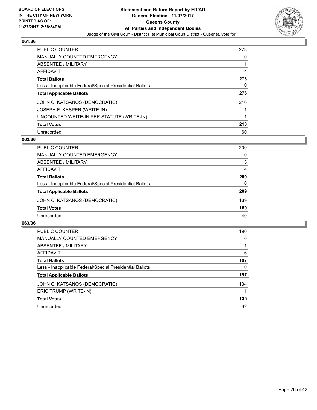

| <b>PUBLIC COUNTER</b>                                    | 273 |
|----------------------------------------------------------|-----|
| <b>MANUALLY COUNTED EMERGENCY</b>                        | 0   |
| ABSENTEE / MILITARY                                      |     |
| AFFIDAVIT                                                | 4   |
| <b>Total Ballots</b>                                     | 278 |
| Less - Inapplicable Federal/Special Presidential Ballots | 0   |
| <b>Total Applicable Ballots</b>                          | 278 |
| JOHN C. KATSANOS (DEMOCRATIC)                            | 216 |
| JOSEPH F. KASPER (WRITE-IN)                              |     |
| UNCOUNTED WRITE-IN PER STATUTE (WRITE-IN)                |     |
| <b>Total Votes</b>                                       | 218 |
| Unrecorded                                               | 60  |

#### **062/36**

| PUBLIC COUNTER                                           | 200      |
|----------------------------------------------------------|----------|
| MANUALLY COUNTED EMERGENCY                               | 0        |
| ABSENTEE / MILITARY                                      | 5        |
| AFFIDAVIT                                                | 4        |
| <b>Total Ballots</b>                                     | 209      |
| Less - Inapplicable Federal/Special Presidential Ballots | $\Omega$ |
| <b>Total Applicable Ballots</b>                          | 209      |
| JOHN C. KATSANOS (DEMOCRATIC)                            | 169      |
| <b>Total Votes</b>                                       | 169      |
| Unrecorded                                               | 40       |

| <b>PUBLIC COUNTER</b>                                    | 190 |
|----------------------------------------------------------|-----|
| <b>MANUALLY COUNTED EMERGENCY</b>                        | 0   |
| ABSENTEE / MILITARY                                      |     |
| <b>AFFIDAVIT</b>                                         | 6   |
| <b>Total Ballots</b>                                     | 197 |
| Less - Inapplicable Federal/Special Presidential Ballots | 0   |
| <b>Total Applicable Ballots</b>                          | 197 |
| JOHN C. KATSANOS (DEMOCRATIC)                            | 134 |
| ERIC TRUMP (WRITE-IN)                                    |     |
| <b>Total Votes</b>                                       | 135 |
| Unrecorded                                               | 62  |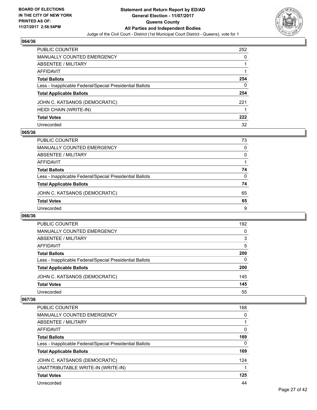

| PUBLIC COUNTER                                           | 252 |
|----------------------------------------------------------|-----|
| <b>MANUALLY COUNTED EMERGENCY</b>                        | 0   |
| <b>ABSENTEE / MILITARY</b>                               |     |
| AFFIDAVIT                                                |     |
| <b>Total Ballots</b>                                     | 254 |
| Less - Inapplicable Federal/Special Presidential Ballots | 0   |
| <b>Total Applicable Ballots</b>                          | 254 |
| JOHN C. KATSANOS (DEMOCRATIC)                            | 221 |
| HEIDI CHAIN (WRITE-IN)                                   |     |
| <b>Total Votes</b>                                       | 222 |
| Unrecorded                                               | 32  |

#### **065/36**

| PUBLIC COUNTER                                           | 73 |
|----------------------------------------------------------|----|
| <b>MANUALLY COUNTED EMERGENCY</b>                        | 0  |
| ABSENTEE / MILITARY                                      | 0  |
| AFFIDAVIT                                                |    |
| <b>Total Ballots</b>                                     | 74 |
| Less - Inapplicable Federal/Special Presidential Ballots | 0  |
| <b>Total Applicable Ballots</b>                          | 74 |
| JOHN C. KATSANOS (DEMOCRATIC)                            | 65 |
| <b>Total Votes</b>                                       | 65 |
| Unrecorded                                               | 9  |

#### **066/36**

| PUBLIC COUNTER                                           | 192 |
|----------------------------------------------------------|-----|
| <b>MANUALLY COUNTED EMERGENCY</b>                        | 0   |
| <b>ABSENTEE / MILITARY</b>                               | 3   |
| AFFIDAVIT                                                | 5   |
| <b>Total Ballots</b>                                     | 200 |
| Less - Inapplicable Federal/Special Presidential Ballots | 0   |
| <b>Total Applicable Ballots</b>                          | 200 |
| JOHN C. KATSANOS (DEMOCRATIC)                            | 145 |
| <b>Total Votes</b>                                       | 145 |
| Unrecorded                                               | 55  |

| PUBLIC COUNTER                                           | 168 |
|----------------------------------------------------------|-----|
| <b>MANUALLY COUNTED EMERGENCY</b>                        | 0   |
| ABSENTEE / MILITARY                                      |     |
| AFFIDAVIT                                                | 0   |
| <b>Total Ballots</b>                                     | 169 |
| Less - Inapplicable Federal/Special Presidential Ballots | 0   |
| <b>Total Applicable Ballots</b>                          | 169 |
| JOHN C. KATSANOS (DEMOCRATIC)                            | 124 |
| UNATTRIBUTABLE WRITE-IN (WRITE-IN)                       |     |
| <b>Total Votes</b>                                       | 125 |
| Unrecorded                                               | 44  |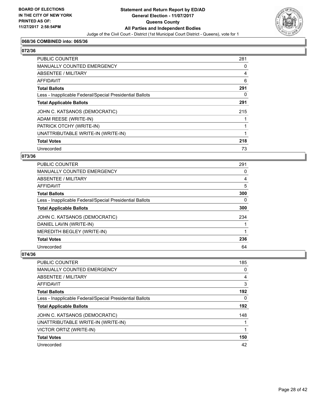

## **068/36 COMBINED into: 065/36**

# **072/36**

| PUBLIC COUNTER                                           | 281 |
|----------------------------------------------------------|-----|
| <b>MANUALLY COUNTED EMERGENCY</b>                        | 0   |
| <b>ABSENTEE / MILITARY</b>                               | 4   |
| AFFIDAVIT                                                | 6   |
| <b>Total Ballots</b>                                     | 291 |
| Less - Inapplicable Federal/Special Presidential Ballots | 0   |
| <b>Total Applicable Ballots</b>                          | 291 |
| JOHN C. KATSANOS (DEMOCRATIC)                            | 215 |
| ADAM REESE (WRITE-IN)                                    |     |
| PATRICK OTCHY (WRITE-IN)                                 |     |
| UNATTRIBUTABLE WRITE-IN (WRITE-IN)                       |     |
| <b>Total Votes</b>                                       | 218 |
| Unrecorded                                               | 73  |

#### **073/36**

| PUBLIC COUNTER                                           | 291 |
|----------------------------------------------------------|-----|
| <b>MANUALLY COUNTED EMERGENCY</b>                        | 0   |
| ABSENTEE / MILITARY                                      | 4   |
| AFFIDAVIT                                                | 5   |
| <b>Total Ballots</b>                                     | 300 |
| Less - Inapplicable Federal/Special Presidential Ballots | 0   |
| <b>Total Applicable Ballots</b>                          | 300 |
| JOHN C. KATSANOS (DEMOCRATIC)                            | 234 |
| DANIEL LAVIN (WRITE-IN)                                  |     |
| MEREDITH BEGLEY (WRITE-IN)                               |     |
| <b>Total Votes</b>                                       | 236 |
| Unrecorded                                               | 64  |

| PUBLIC COUNTER                                           | 185 |
|----------------------------------------------------------|-----|
| <b>MANUALLY COUNTED EMERGENCY</b>                        | 0   |
| ABSENTEE / MILITARY                                      | 4   |
| AFFIDAVIT                                                | 3   |
| <b>Total Ballots</b>                                     | 192 |
| Less - Inapplicable Federal/Special Presidential Ballots | 0   |
| <b>Total Applicable Ballots</b>                          | 192 |
| JOHN C. KATSANOS (DEMOCRATIC)                            | 148 |
| UNATTRIBUTABLE WRITE-IN (WRITE-IN)                       |     |
| VICTOR ORTIZ (WRITE-IN)                                  | 1   |
| <b>Total Votes</b>                                       | 150 |
| Unrecorded                                               | 42  |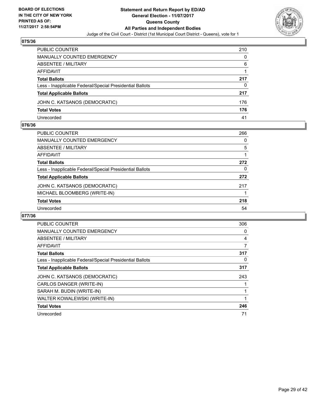

| PUBLIC COUNTER                                           | 210 |
|----------------------------------------------------------|-----|
| <b>MANUALLY COUNTED EMERGENCY</b>                        | 0   |
| <b>ABSENTEE / MILITARY</b>                               | 6   |
| AFFIDAVIT                                                |     |
| <b>Total Ballots</b>                                     | 217 |
| Less - Inapplicable Federal/Special Presidential Ballots | 0   |
| <b>Total Applicable Ballots</b>                          | 217 |
| JOHN C. KATSANOS (DEMOCRATIC)                            | 176 |
| <b>Total Votes</b>                                       | 176 |
| Unrecorded                                               | 41  |

#### **076/36**

| PUBLIC COUNTER                                           | 266 |
|----------------------------------------------------------|-----|
| MANUALLY COUNTED EMERGENCY                               | 0   |
| ABSENTEE / MILITARY                                      | 5   |
| AFFIDAVIT                                                |     |
| <b>Total Ballots</b>                                     | 272 |
| Less - Inapplicable Federal/Special Presidential Ballots | 0   |
| <b>Total Applicable Ballots</b>                          | 272 |
| JOHN C. KATSANOS (DEMOCRATIC)                            | 217 |
| MICHAEL BLOOMBERG (WRITE-IN)                             |     |
| <b>Total Votes</b>                                       | 218 |
| Unrecorded                                               | 54  |
|                                                          |     |

| <b>PUBLIC COUNTER</b>                                    | 306 |
|----------------------------------------------------------|-----|
| <b>MANUALLY COUNTED EMERGENCY</b>                        | 0   |
| ABSENTEE / MILITARY                                      | 4   |
| <b>AFFIDAVIT</b>                                         | 7   |
| <b>Total Ballots</b>                                     | 317 |
| Less - Inapplicable Federal/Special Presidential Ballots | 0   |
| <b>Total Applicable Ballots</b>                          | 317 |
| JOHN C. KATSANOS (DEMOCRATIC)                            | 243 |
| CARLOS DANGER (WRITE-IN)                                 |     |
| SARAH M. BUDIN (WRITE-IN)                                |     |
| WALTER KOWALEWSKI (WRITE-IN)                             | 1   |
| <b>Total Votes</b>                                       | 246 |
| Unrecorded                                               | 71  |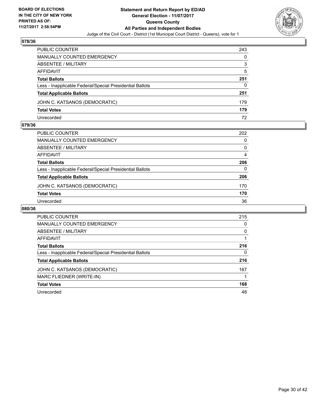

| PUBLIC COUNTER                                           | 243 |
|----------------------------------------------------------|-----|
| MANUALLY COUNTED EMERGENCY                               | 0   |
| ABSENTEE / MILITARY                                      | 3   |
| AFFIDAVIT                                                | 5   |
| <b>Total Ballots</b>                                     | 251 |
| Less - Inapplicable Federal/Special Presidential Ballots | 0   |
| <b>Total Applicable Ballots</b>                          | 251 |
| JOHN C. KATSANOS (DEMOCRATIC)                            | 179 |
| <b>Total Votes</b>                                       | 179 |
| Unrecorded                                               | 72  |

#### **079/36**

| <b>PUBLIC COUNTER</b>                                    | 202      |
|----------------------------------------------------------|----------|
| <b>MANUALLY COUNTED EMERGENCY</b>                        | 0        |
| ABSENTEE / MILITARY                                      | 0        |
| AFFIDAVIT                                                | 4        |
| <b>Total Ballots</b>                                     | 206      |
| Less - Inapplicable Federal/Special Presidential Ballots | $\Omega$ |
| <b>Total Applicable Ballots</b>                          | 206      |
| JOHN C. KATSANOS (DEMOCRATIC)                            | 170      |
| <b>Total Votes</b>                                       | 170      |
| Unrecorded                                               | 36       |
|                                                          |          |

| <b>PUBLIC COUNTER</b>                                    | 215 |
|----------------------------------------------------------|-----|
| <b>MANUALLY COUNTED EMERGENCY</b>                        | 0   |
| <b>ABSENTEE / MILITARY</b>                               | 0   |
| <b>AFFIDAVIT</b>                                         |     |
| <b>Total Ballots</b>                                     | 216 |
| Less - Inapplicable Federal/Special Presidential Ballots | 0   |
| <b>Total Applicable Ballots</b>                          | 216 |
| JOHN C. KATSANOS (DEMOCRATIC)                            | 167 |
| MARC FLIEDNER (WRITE-IN)                                 |     |
| <b>Total Votes</b>                                       | 168 |
| Unrecorded                                               | 48  |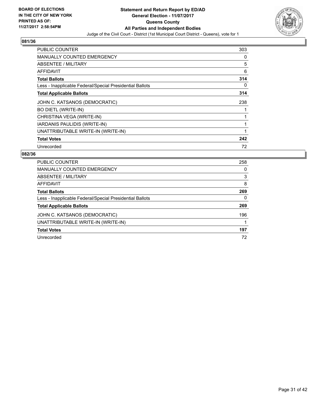

| <b>PUBLIC COUNTER</b>                                    | 303 |
|----------------------------------------------------------|-----|
| <b>MANUALLY COUNTED EMERGENCY</b>                        | 0   |
| <b>ABSENTEE / MILITARY</b>                               | 5   |
| AFFIDAVIT                                                | 6   |
| <b>Total Ballots</b>                                     | 314 |
| Less - Inapplicable Federal/Special Presidential Ballots | 0   |
| <b>Total Applicable Ballots</b>                          | 314 |
| JOHN C. KATSANOS (DEMOCRATIC)                            | 238 |
| <b>BO DIETL (WRITE-IN)</b>                               | 1   |
| CHRISTINA VEGA (WRITE-IN)                                | 1   |
| IARDANIS PAULIDIS (WRITE-IN)                             | 1   |
| UNATTRIBUTABLE WRITE-IN (WRITE-IN)                       | 1   |
| <b>Total Votes</b>                                       | 242 |
| Unrecorded                                               | 72  |

| <b>PUBLIC COUNTER</b>                                    | 258 |
|----------------------------------------------------------|-----|
| <b>MANUALLY COUNTED EMERGENCY</b>                        | 0   |
| ABSENTEE / MILITARY                                      | 3   |
| AFFIDAVIT                                                | 8   |
| <b>Total Ballots</b>                                     | 269 |
| Less - Inapplicable Federal/Special Presidential Ballots | 0   |
| <b>Total Applicable Ballots</b>                          | 269 |
| JOHN C. KATSANOS (DEMOCRATIC)                            | 196 |
| UNATTRIBUTABLE WRITE-IN (WRITE-IN)                       |     |
| <b>Total Votes</b>                                       | 197 |
| Unrecorded                                               | 72  |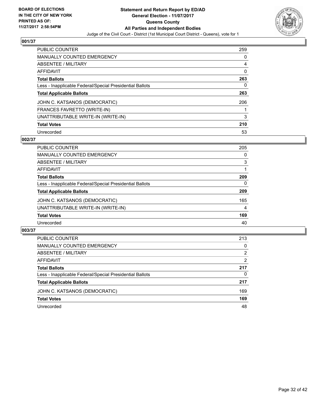

| <b>PUBLIC COUNTER</b>                                    | 259 |
|----------------------------------------------------------|-----|
| <b>MANUALLY COUNTED EMERGENCY</b>                        | 0   |
| ABSENTEE / MILITARY                                      | 4   |
| AFFIDAVIT                                                | 0   |
| <b>Total Ballots</b>                                     | 263 |
| Less - Inapplicable Federal/Special Presidential Ballots | 0   |
| <b>Total Applicable Ballots</b>                          | 263 |
| JOHN C. KATSANOS (DEMOCRATIC)                            | 206 |
| <b>FRANCES FAVRETTO (WRITE-IN)</b>                       |     |
| UNATTRIBUTABLE WRITE-IN (WRITE-IN)                       | 3   |
| <b>Total Votes</b>                                       | 210 |
| Unrecorded                                               | 53  |

#### **002/37**

| <b>PUBLIC COUNTER</b>                                    | 205 |
|----------------------------------------------------------|-----|
| <b>MANUALLY COUNTED EMERGENCY</b>                        | 0   |
| ABSENTEE / MILITARY                                      | 3   |
| AFFIDAVIT                                                |     |
| <b>Total Ballots</b>                                     | 209 |
| Less - Inapplicable Federal/Special Presidential Ballots | 0   |
| <b>Total Applicable Ballots</b>                          | 209 |
| JOHN C. KATSANOS (DEMOCRATIC)                            | 165 |
| UNATTRIBUTABLE WRITE-IN (WRITE-IN)                       | 4   |
| <b>Total Votes</b>                                       | 169 |
| Unrecorded                                               | 40  |

| <b>PUBLIC COUNTER</b>                                    | 213 |
|----------------------------------------------------------|-----|
| MANUALLY COUNTED EMERGENCY                               | 0   |
| ABSENTEE / MILITARY                                      | 2   |
| AFFIDAVIT                                                | 2   |
| <b>Total Ballots</b>                                     | 217 |
| Less - Inapplicable Federal/Special Presidential Ballots | 0   |
| <b>Total Applicable Ballots</b>                          | 217 |
| JOHN C. KATSANOS (DEMOCRATIC)                            | 169 |
| <b>Total Votes</b>                                       | 169 |
| Unrecorded                                               | 48  |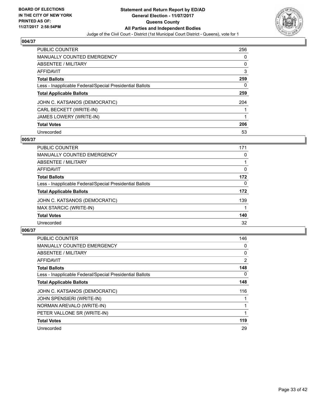

| <b>PUBLIC COUNTER</b>                                    | 256 |
|----------------------------------------------------------|-----|
| <b>MANUALLY COUNTED EMERGENCY</b>                        | 0   |
| ABSENTEE / MILITARY                                      | 0   |
| AFFIDAVIT                                                | 3   |
| <b>Total Ballots</b>                                     | 259 |
| Less - Inapplicable Federal/Special Presidential Ballots | 0   |
| <b>Total Applicable Ballots</b>                          | 259 |
| JOHN C. KATSANOS (DEMOCRATIC)                            | 204 |
| CARL BECKETT (WRITE-IN)                                  |     |
| <b>JAMES LOWERY (WRITE-IN)</b>                           |     |
| <b>Total Votes</b>                                       | 206 |
| Unrecorded                                               | 53  |

#### **005/37**

| <b>PUBLIC COUNTER</b>                                    | 171 |
|----------------------------------------------------------|-----|
| <b>MANUALLY COUNTED EMERGENCY</b>                        | 0   |
| ABSENTEE / MILITARY                                      |     |
| AFFIDAVIT                                                | 0   |
| <b>Total Ballots</b>                                     | 172 |
| Less - Inapplicable Federal/Special Presidential Ballots | 0   |
| <b>Total Applicable Ballots</b>                          | 172 |
| JOHN C. KATSANOS (DEMOCRATIC)                            | 139 |
| MAX STARCIC (WRITE-IN)                                   |     |
| <b>Total Votes</b>                                       | 140 |
| Unrecorded                                               | 32  |

| PUBLIC COUNTER                                           | 146            |
|----------------------------------------------------------|----------------|
| <b>MANUALLY COUNTED EMERGENCY</b>                        | 0              |
| ABSENTEE / MILITARY                                      | 0              |
| <b>AFFIDAVIT</b>                                         | $\overline{2}$ |
| <b>Total Ballots</b>                                     | 148            |
| Less - Inapplicable Federal/Special Presidential Ballots | 0              |
| <b>Total Applicable Ballots</b>                          | 148            |
| JOHN C. KATSANOS (DEMOCRATIC)                            | 116            |
| <b>JOHN SPENSIERI (WRITE-IN)</b>                         |                |
| NORMAN AREVALO (WRITE-IN)                                |                |
| PETER VALLONE SR (WRITE-IN)                              |                |
| <b>Total Votes</b>                                       | 119            |
| Unrecorded                                               | 29             |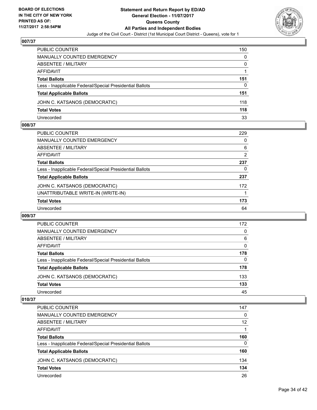

| PUBLIC COUNTER                                           | 150 |
|----------------------------------------------------------|-----|
| <b>MANUALLY COUNTED EMERGENCY</b>                        | 0   |
| ABSENTEE / MILITARY                                      | 0   |
| AFFIDAVIT                                                |     |
| <b>Total Ballots</b>                                     | 151 |
| Less - Inapplicable Federal/Special Presidential Ballots | 0   |
| <b>Total Applicable Ballots</b>                          | 151 |
| JOHN C. KATSANOS (DEMOCRATIC)                            | 118 |
| <b>Total Votes</b>                                       | 118 |
| Unrecorded                                               | 33  |

#### **008/37**

| PUBLIC COUNTER                                           | 229 |
|----------------------------------------------------------|-----|
| MANUALLY COUNTED EMERGENCY                               | 0   |
| ABSENTEE / MILITARY                                      | 6   |
| AFFIDAVIT                                                | 2   |
| <b>Total Ballots</b>                                     | 237 |
| Less - Inapplicable Federal/Special Presidential Ballots | 0   |
| <b>Total Applicable Ballots</b>                          | 237 |
| JOHN C. KATSANOS (DEMOCRATIC)                            | 172 |
| UNATTRIBUTABLE WRITE-IN (WRITE-IN)                       |     |
| <b>Total Votes</b>                                       | 173 |
| Unrecorded                                               | 64  |
|                                                          |     |

#### **009/37**

| PUBLIC COUNTER                                           | 172      |
|----------------------------------------------------------|----------|
| <b>MANUALLY COUNTED EMERGENCY</b>                        | 0        |
| <b>ABSENTEE / MILITARY</b>                               | 6        |
| AFFIDAVIT                                                | 0        |
| <b>Total Ballots</b>                                     | 178      |
| Less - Inapplicable Federal/Special Presidential Ballots | $\Omega$ |
| <b>Total Applicable Ballots</b>                          | 178      |
| JOHN C. KATSANOS (DEMOCRATIC)                            | 133      |
| <b>Total Votes</b>                                       | 133      |
| Unrecorded                                               | 45       |

| <b>PUBLIC COUNTER</b>                                    | 147 |
|----------------------------------------------------------|-----|
| <b>MANUALLY COUNTED EMERGENCY</b>                        | 0   |
| ABSENTEE / MILITARY                                      | 12  |
| AFFIDAVIT                                                |     |
| <b>Total Ballots</b>                                     | 160 |
| Less - Inapplicable Federal/Special Presidential Ballots | 0   |
| <b>Total Applicable Ballots</b>                          | 160 |
| JOHN C. KATSANOS (DEMOCRATIC)                            | 134 |
| <b>Total Votes</b>                                       | 134 |
| Unrecorded                                               | 26  |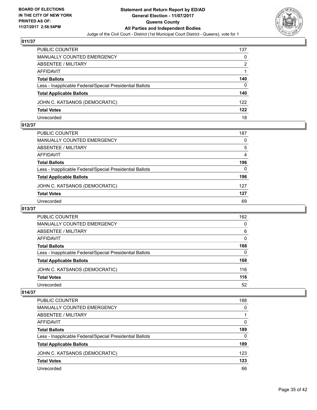

| PUBLIC COUNTER                                           | 137 |
|----------------------------------------------------------|-----|
| <b>MANUALLY COUNTED EMERGENCY</b>                        | 0   |
| <b>ABSENTEE / MILITARY</b>                               | 2   |
| AFFIDAVIT                                                |     |
| <b>Total Ballots</b>                                     | 140 |
| Less - Inapplicable Federal/Special Presidential Ballots | 0   |
| <b>Total Applicable Ballots</b>                          | 140 |
| JOHN C. KATSANOS (DEMOCRATIC)                            | 122 |
| <b>Total Votes</b>                                       | 122 |
| Unrecorded                                               | 18  |

#### **012/37**

| <b>PUBLIC COUNTER</b>                                    | 187 |
|----------------------------------------------------------|-----|
| <b>MANUALLY COUNTED EMERGENCY</b>                        | 0   |
| ABSENTEE / MILITARY                                      | 5   |
| AFFIDAVIT                                                | 4   |
| <b>Total Ballots</b>                                     | 196 |
| Less - Inapplicable Federal/Special Presidential Ballots | 0   |
| <b>Total Applicable Ballots</b>                          | 196 |
| JOHN C. KATSANOS (DEMOCRATIC)                            | 127 |
| <b>Total Votes</b>                                       | 127 |
| Unrecorded                                               | 69  |
|                                                          |     |

## **013/37**

| <b>PUBLIC COUNTER</b>                                    | 162 |
|----------------------------------------------------------|-----|
| <b>MANUALLY COUNTED EMERGENCY</b>                        | 0   |
| <b>ABSENTEE / MILITARY</b>                               | 6   |
| AFFIDAVIT                                                | 0   |
| <b>Total Ballots</b>                                     | 168 |
| Less - Inapplicable Federal/Special Presidential Ballots | 0   |
| <b>Total Applicable Ballots</b>                          | 168 |
| JOHN C. KATSANOS (DEMOCRATIC)                            | 116 |
| <b>Total Votes</b>                                       | 116 |
| Unrecorded                                               | 52  |

| <b>PUBLIC COUNTER</b>                                    | 188 |
|----------------------------------------------------------|-----|
| <b>MANUALLY COUNTED EMERGENCY</b>                        | 0   |
| <b>ABSENTEE / MILITARY</b>                               |     |
| AFFIDAVIT                                                | 0   |
| <b>Total Ballots</b>                                     | 189 |
| Less - Inapplicable Federal/Special Presidential Ballots | 0   |
| <b>Total Applicable Ballots</b>                          | 189 |
| JOHN C. KATSANOS (DEMOCRATIC)                            | 123 |
| <b>Total Votes</b>                                       | 123 |
| Unrecorded                                               | 66  |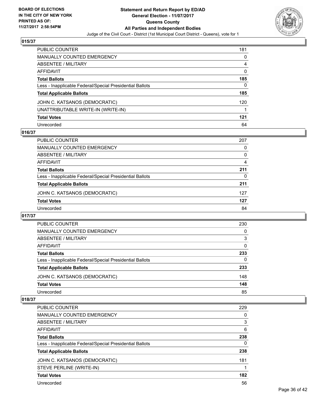

| <b>PUBLIC COUNTER</b>                                    | 181          |
|----------------------------------------------------------|--------------|
| <b>MANUALLY COUNTED EMERGENCY</b>                        | 0            |
| <b>ABSENTEE / MILITARY</b>                               | 4            |
| <b>AFFIDAVIT</b>                                         | $\mathbf{0}$ |
| <b>Total Ballots</b>                                     | 185          |
| Less - Inapplicable Federal/Special Presidential Ballots | 0            |
| <b>Total Applicable Ballots</b>                          | 185          |
| JOHN C. KATSANOS (DEMOCRATIC)                            | 120          |
| UNATTRIBUTABLE WRITE-IN (WRITE-IN)                       |              |
| <b>Total Votes</b>                                       | 121          |
| Unrecorded                                               | 64           |

## **016/37**

| <b>PUBLIC COUNTER</b>                                    | 207 |
|----------------------------------------------------------|-----|
| MANUALLY COUNTED EMERGENCY                               | 0   |
| ABSENTEE / MILITARY                                      | 0   |
| AFFIDAVIT                                                | 4   |
| <b>Total Ballots</b>                                     | 211 |
| Less - Inapplicable Federal/Special Presidential Ballots | 0   |
| <b>Total Applicable Ballots</b>                          | 211 |
| JOHN C. KATSANOS (DEMOCRATIC)                            | 127 |
| <b>Total Votes</b>                                       | 127 |
| Unrecorded                                               | 84  |

#### **017/37**

| <b>PUBLIC COUNTER</b>                                    | 230 |
|----------------------------------------------------------|-----|
| MANUALLY COUNTED EMERGENCY                               | 0   |
| ABSENTEE / MILITARY                                      | 3   |
| AFFIDAVIT                                                | 0   |
| <b>Total Ballots</b>                                     | 233 |
| Less - Inapplicable Federal/Special Presidential Ballots | 0   |
| <b>Total Applicable Ballots</b>                          | 233 |
| JOHN C. KATSANOS (DEMOCRATIC)                            | 148 |
| <b>Total Votes</b>                                       | 148 |
| Unrecorded                                               | 85  |

| <b>PUBLIC COUNTER</b>                                    | 229 |
|----------------------------------------------------------|-----|
| <b>MANUALLY COUNTED EMERGENCY</b>                        | 0   |
| ABSENTEE / MILITARY                                      | 3   |
| AFFIDAVIT                                                | 6   |
| <b>Total Ballots</b>                                     | 238 |
| Less - Inapplicable Federal/Special Presidential Ballots | 0   |
| <b>Total Applicable Ballots</b>                          | 238 |
| JOHN C. KATSANOS (DEMOCRATIC)                            | 181 |
| STEVE PERLINE (WRITE-IN)                                 |     |
| <b>Total Votes</b>                                       | 182 |
| Unrecorded                                               | 56  |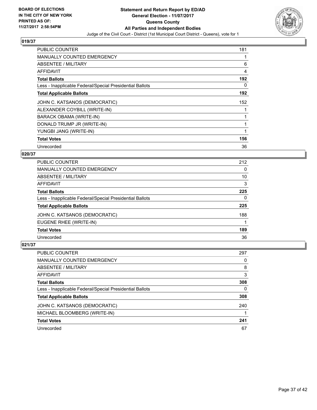

| <b>PUBLIC COUNTER</b>                                    | 181 |
|----------------------------------------------------------|-----|
| <b>MANUALLY COUNTED EMERGENCY</b>                        |     |
| <b>ABSENTEE / MILITARY</b>                               | 6   |
| AFFIDAVIT                                                | 4   |
| <b>Total Ballots</b>                                     | 192 |
| Less - Inapplicable Federal/Special Presidential Ballots | 0   |
| <b>Total Applicable Ballots</b>                          | 192 |
| JOHN C. KATSANOS (DEMOCRATIC)                            | 152 |
| ALEXANDER COYBILL (WRITE-IN)                             |     |
| BARACK OBAMA (WRITE-IN)                                  |     |
| DONALD TRUMP JR (WRITE-IN)                               |     |
| YUNGBI JANG (WRITE-IN)                                   |     |
| <b>Total Votes</b>                                       | 156 |
|                                                          |     |

## **020/37**

| <b>PUBLIC COUNTER</b>                                    | 212 |
|----------------------------------------------------------|-----|
| MANUALLY COUNTED EMERGENCY                               | 0   |
| ABSENTEE / MILITARY                                      | 10  |
| AFFIDAVIT                                                | 3   |
| <b>Total Ballots</b>                                     | 225 |
| Less - Inapplicable Federal/Special Presidential Ballots | 0   |
| <b>Total Applicable Ballots</b>                          | 225 |
| JOHN C. KATSANOS (DEMOCRATIC)                            | 188 |
| EUGENE RHEE (WRITE-IN)                                   |     |
| <b>Total Votes</b>                                       | 189 |
| Unrecorded                                               | 36  |

| PUBLIC COUNTER                                           | 297 |
|----------------------------------------------------------|-----|
| MANUALLY COUNTED EMERGENCY                               | 0   |
| ABSENTEE / MILITARY                                      | 8   |
| AFFIDAVIT                                                | 3   |
| <b>Total Ballots</b>                                     | 308 |
| Less - Inapplicable Federal/Special Presidential Ballots | 0   |
| <b>Total Applicable Ballots</b>                          | 308 |
| JOHN C. KATSANOS (DEMOCRATIC)                            | 240 |
| MICHAEL BLOOMBERG (WRITE-IN)                             |     |
| <b>Total Votes</b>                                       | 241 |
| Unrecorded                                               | 67  |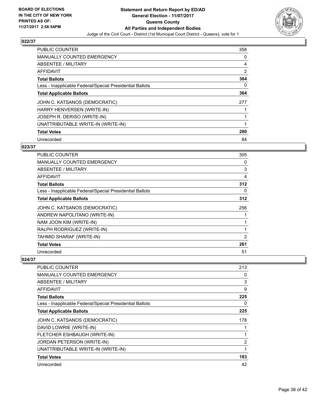

| <b>PUBLIC COUNTER</b>                                    | 358 |
|----------------------------------------------------------|-----|
| <b>MANUALLY COUNTED EMERGENCY</b>                        | 0   |
| ABSENTEE / MILITARY                                      | 4   |
| AFFIDAVIT                                                | 2   |
| <b>Total Ballots</b>                                     | 364 |
| Less - Inapplicable Federal/Special Presidential Ballots | 0   |
| <b>Total Applicable Ballots</b>                          | 364 |
| JOHN C. KATSANOS (DEMOCRATIC)                            | 277 |
| HARRY HENVERSEN (WRITE-IN)                               |     |
| JOSEPH R. DERISO (WRITE-IN)                              |     |
| UNATTRIBUTABLE WRITE-IN (WRITE-IN)                       | 1   |
| <b>Total Votes</b>                                       | 280 |
| Unrecorded                                               | 84  |

## **023/37**

| <b>PUBLIC COUNTER</b>                                    | 305 |
|----------------------------------------------------------|-----|
| <b>MANUALLY COUNTED EMERGENCY</b>                        | 0   |
| ABSENTEE / MILITARY                                      | 3   |
| AFFIDAVIT                                                | 4   |
| <b>Total Ballots</b>                                     | 312 |
| Less - Inapplicable Federal/Special Presidential Ballots | 0   |
| <b>Total Applicable Ballots</b>                          | 312 |
| JOHN C. KATSANOS (DEMOCRATIC)                            | 256 |
| ANDREW NAPOLITANO (WRITE-IN)                             |     |
| NAM JOON KIM (WRITE-IN)                                  |     |
| RALPH RODRIGUEZ (WRITE-IN)                               | 1   |
| TAHMID SHARAF (WRITE-IN)                                 | 2   |
| <b>Total Votes</b>                                       | 261 |
| Unrecorded                                               | 51  |

| <b>PUBLIC COUNTER</b>                                    | 213 |
|----------------------------------------------------------|-----|
| <b>MANUALLY COUNTED EMERGENCY</b>                        | 0   |
| ABSENTEE / MILITARY                                      | 3   |
| AFFIDAVIT                                                | 9   |
| <b>Total Ballots</b>                                     | 225 |
| Less - Inapplicable Federal/Special Presidential Ballots | 0   |
| <b>Total Applicable Ballots</b>                          | 225 |
| JOHN C. KATSANOS (DEMOCRATIC)                            | 178 |
| DAVID LOWRIE (WRITE-IN)                                  |     |
| FLETCHER ESHBAUGH (WRITE-IN)                             |     |
| <b>JORDAN PETERSON (WRITE-IN)</b>                        | 2   |
| UNATTRIBUTABLE WRITE-IN (WRITE-IN)                       |     |
| <b>Total Votes</b>                                       | 183 |
| Unrecorded                                               | 42  |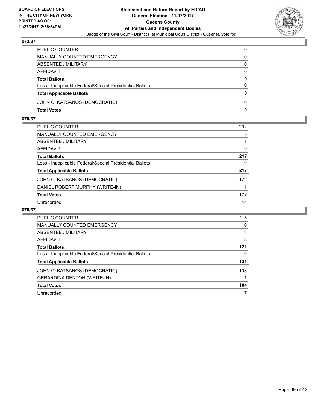

| PUBLIC COUNTER                                           | 0        |
|----------------------------------------------------------|----------|
| <b>MANUALLY COUNTED EMERGENCY</b>                        | 0        |
| ABSENTEE / MILITARY                                      | $\Omega$ |
| <b>AFFIDAVIT</b>                                         | $\Omega$ |
| <b>Total Ballots</b>                                     | 0        |
| Less - Inapplicable Federal/Special Presidential Ballots | $\Omega$ |
| <b>Total Applicable Ballots</b>                          | 0        |
| JOHN C. KATSANOS (DEMOCRATIC)                            | $\Omega$ |
| <b>Total Votes</b>                                       | 0        |

## **075/37**

| PUBLIC COUNTER                                           | 202 |
|----------------------------------------------------------|-----|
| MANUALLY COUNTED EMERGENCY                               | 5   |
| ABSENTEE / MILITARY                                      |     |
| AFFIDAVIT                                                | 9   |
| Total Ballots                                            | 217 |
| Less - Inapplicable Federal/Special Presidential Ballots | 0   |
| <b>Total Applicable Ballots</b>                          | 217 |
| JOHN C. KATSANOS (DEMOCRATIC)                            | 172 |
| DANIEL ROBERT MURPHY (WRITE-IN)                          |     |
| <b>Total Votes</b>                                       | 173 |
| Unrecorded                                               | 44  |

| <b>PUBLIC COUNTER</b>                                    | 115 |
|----------------------------------------------------------|-----|
| <b>MANUALLY COUNTED EMERGENCY</b>                        | 0   |
| <b>ABSENTEE / MILITARY</b>                               | 3   |
| AFFIDAVIT                                                | 3   |
| <b>Total Ballots</b>                                     | 121 |
| Less - Inapplicable Federal/Special Presidential Ballots | 0   |
| <b>Total Applicable Ballots</b>                          | 121 |
| JOHN C. KATSANOS (DEMOCRATIC)                            | 103 |
| <b>GERARDINA DENTON (WRITE-IN)</b>                       |     |
| <b>Total Votes</b>                                       | 104 |
| Unrecorded                                               | 17  |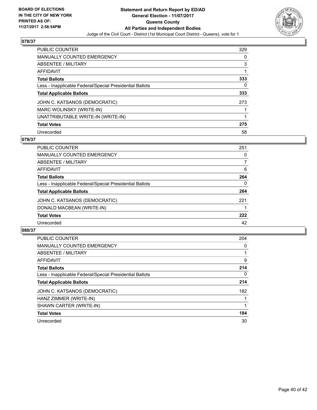

| <b>PUBLIC COUNTER</b>                                    | 329 |
|----------------------------------------------------------|-----|
| <b>MANUALLY COUNTED EMERGENCY</b>                        | 0   |
| ABSENTEE / MILITARY                                      | 3   |
| AFFIDAVIT                                                |     |
| <b>Total Ballots</b>                                     | 333 |
| Less - Inapplicable Federal/Special Presidential Ballots | 0   |
| <b>Total Applicable Ballots</b>                          | 333 |
| JOHN C. KATSANOS (DEMOCRATIC)                            | 273 |
| MARC WOLINSKY (WRITE-IN)                                 |     |
| UNATTRIBUTABLE WRITE-IN (WRITE-IN)                       |     |
| <b>Total Votes</b>                                       | 275 |
| Unrecorded                                               | 58  |

### **079/37**

| <b>PUBLIC COUNTER</b>                                    | 251 |
|----------------------------------------------------------|-----|
| <b>MANUALLY COUNTED EMERGENCY</b>                        | 0   |
| ABSENTEE / MILITARY                                      | 7   |
| <b>AFFIDAVIT</b>                                         | 6   |
| <b>Total Ballots</b>                                     | 264 |
| Less - Inapplicable Federal/Special Presidential Ballots | 0   |
| <b>Total Applicable Ballots</b>                          | 264 |
| JOHN C. KATSANOS (DEMOCRATIC)                            | 221 |
| DONALD MACBEAN (WRITE-IN)                                |     |
| <b>Total Votes</b>                                       | 222 |
| Unrecorded                                               | 42  |
|                                                          |     |

| <b>PUBLIC COUNTER</b>                                    | 204          |
|----------------------------------------------------------|--------------|
| <b>MANUALLY COUNTED EMERGENCY</b>                        | 0            |
| ABSENTEE / MILITARY                                      |              |
| AFFIDAVIT                                                | 9            |
| <b>Total Ballots</b>                                     | 214          |
| Less - Inapplicable Federal/Special Presidential Ballots | $\mathbf{0}$ |
| <b>Total Applicable Ballots</b>                          | 214          |
| JOHN C. KATSANOS (DEMOCRATIC)                            | 182          |
| HANZ ZIMMER (WRITE-IN)                                   |              |
| SHAWN CARTER (WRITE-IN)                                  |              |
| <b>Total Votes</b>                                       | 184          |
| Unrecorded                                               | 30           |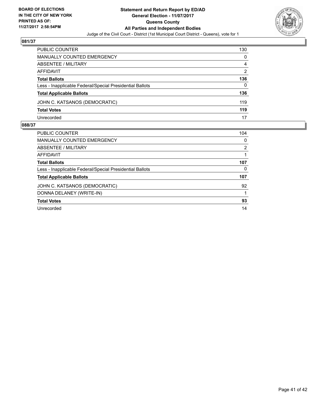

| <b>PUBLIC COUNTER</b>                                    | 130 |
|----------------------------------------------------------|-----|
| <b>MANUALLY COUNTED EMERGENCY</b>                        | 0   |
| ABSENTEE / MILITARY                                      | 4   |
| AFFIDAVIT                                                | 2   |
| <b>Total Ballots</b>                                     | 136 |
| Less - Inapplicable Federal/Special Presidential Ballots | 0   |
| <b>Total Applicable Ballots</b>                          | 136 |
| JOHN C. KATSANOS (DEMOCRATIC)                            | 119 |
| <b>Total Votes</b>                                       | 119 |
| Unrecorded                                               | 17  |

| <b>PUBLIC COUNTER</b>                                    | 104 |
|----------------------------------------------------------|-----|
| <b>MANUALLY COUNTED EMERGENCY</b>                        | 0   |
| ABSENTEE / MILITARY                                      | 2   |
| AFFIDAVIT                                                |     |
| <b>Total Ballots</b>                                     | 107 |
| Less - Inapplicable Federal/Special Presidential Ballots | 0   |
| <b>Total Applicable Ballots</b>                          | 107 |
| JOHN C. KATSANOS (DEMOCRATIC)                            | 92  |
| DONNA DELANEY (WRITE-IN)                                 |     |
| <b>Total Votes</b>                                       | 93  |
| Unrecorded                                               | 14  |